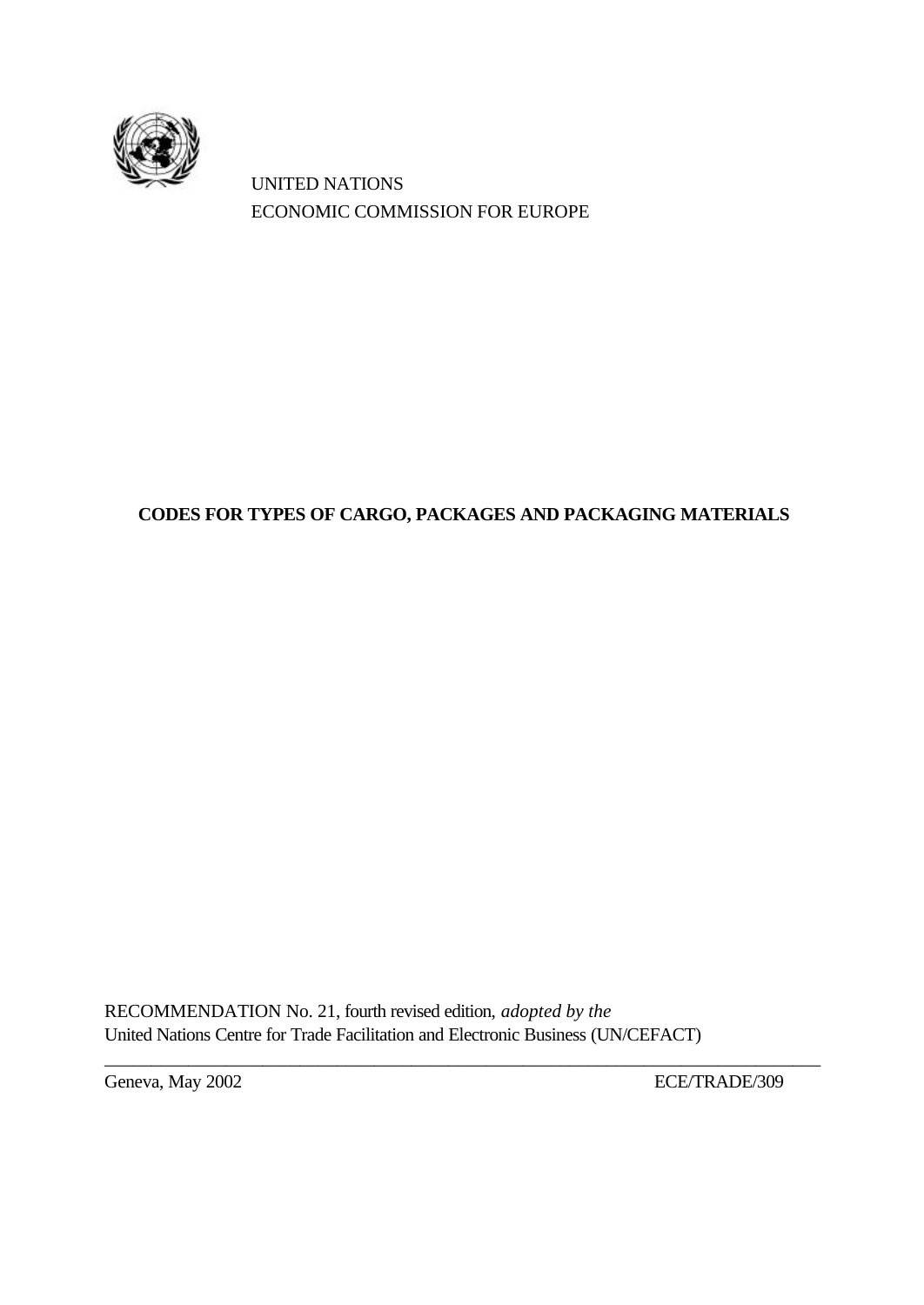

UNITED NATIONS ECONOMIC COMMISSION FOR EUROPE

# **CODES FOR TYPES OF CARGO, PACKAGES AND PACKAGING MATERIALS**

RECOMMENDATION No. 21, fourth revised edition, *adopted by the* United Nations Centre for Trade Facilitation and Electronic Business (UN/CEFACT)

\_\_\_\_\_\_\_\_\_\_\_\_\_\_\_\_\_\_\_\_\_\_\_\_\_\_\_\_\_\_\_\_\_\_\_\_\_\_\_\_\_\_\_\_\_\_\_\_\_\_\_\_\_\_\_\_\_\_\_\_\_\_\_\_\_\_\_\_\_\_\_\_\_\_\_\_\_

Geneva, May 2002 ECE/TRADE/309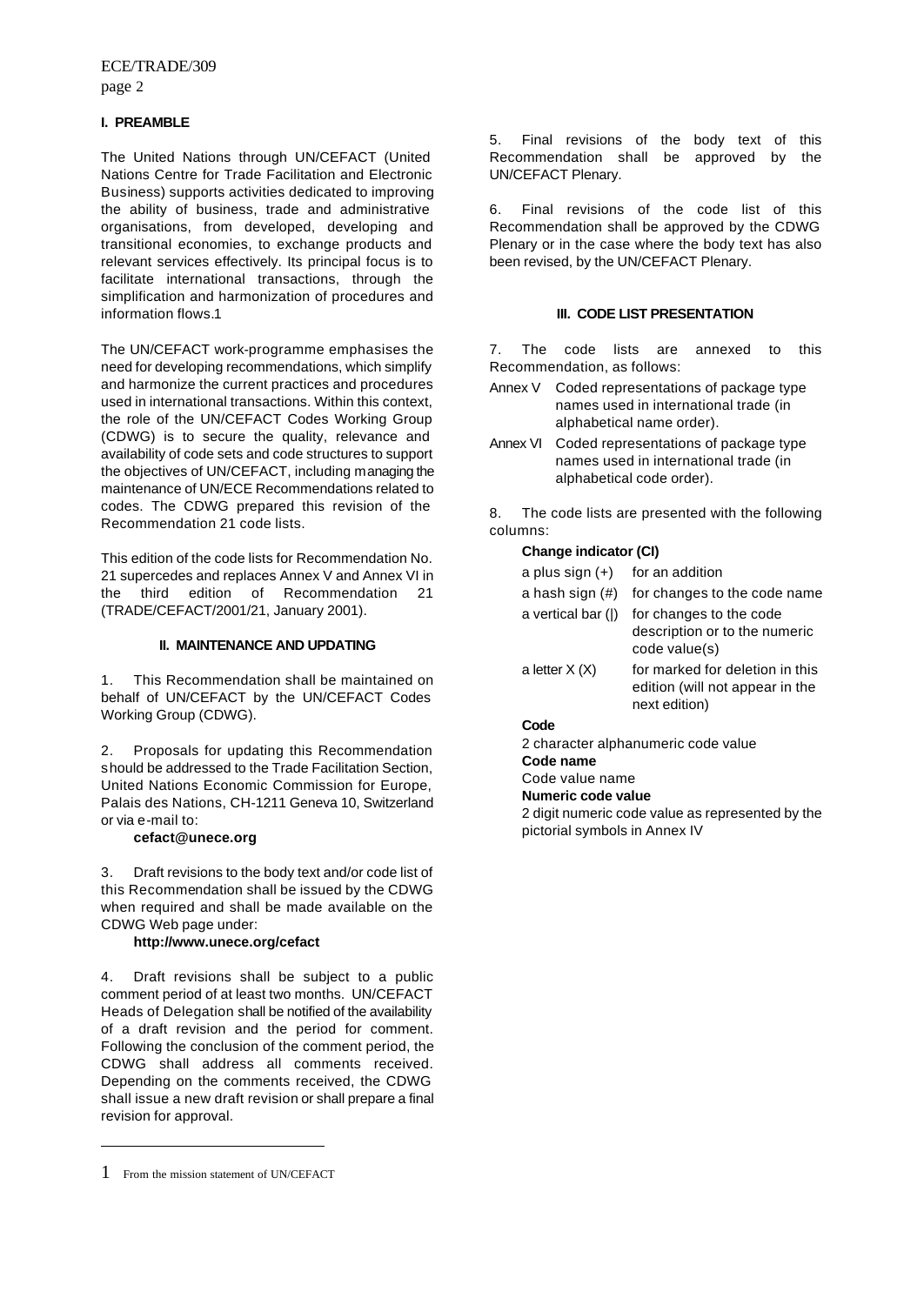#### **I. PREAMBLE**

The United Nations through UN/CEFACT (United Nations Centre for Trade Facilitation and Electronic Business) supports activities dedicated to improving the ability of business, trade and administrative organisations, from developed, developing and transitional economies, to exchange products and relevant services effectively. Its principal focus is to facilitate international transactions, through the simplification and harmonization of procedures and information flows.1

The UN/CEFACT work-programme emphasises the need for developing recommendations, which simplify and harmonize the current practices and procedures used in international transactions. Within this context, the role of the UN/CEFACT Codes Working Group (CDWG) is to secure the quality, relevance and availability of code sets and code structures to support the objectives of UN/CEFACT, including managing the maintenance of UN/ECE Recommendations related to codes. The CDWG prepared this revision of the Recommendation 21 code lists.

This edition of the code lists for Recommendation No. 21 supercedes and replaces Annex V and Annex VI in the third edition of Recommendation 21 (TRADE/CEFACT/2001/21, January 2001).

#### **II. MAINTENANCE AND UPDATING**

1. This Recommendation shall be maintained on behalf of UN/CEFACT by the UN/CEFACT Codes Working Group (CDWG).

2. Proposals for updating this Recommendation should be addressed to the Trade Facilitation Section, United Nations Economic Commission for Europe, Palais des Nations, CH-1211 Geneva 10, Switzerland or via e-mail to:

#### **cefact@unece.org**

3. Draft revisions to the body text and/or code list of this Recommendation shall be issued by the CDWG when required and shall be made available on the CDWG Web page under:

#### **http://www.unece.org/cefact**

4. Draft revisions shall be subject to a public comment period of at least two months. UN/CEFACT Heads of Delegation shall be notified of the availability of a draft revision and the period for comment. Following the conclusion of the comment period, the CDWG shall address all comments received. Depending on the comments received, the CDWG shall issue a new draft revision or shall prepare a final revision for approval.

l

5. Final revisions of the body text of this Recommendation shall be approved by the UN/CEFACT Plenary.

6. Final revisions of the code list of this Recommendation shall be approved by the CDWG Plenary or in the case where the body text has also been revised, by the UN/CEFACT Plenary.

#### **III. CODE LIST PRESENTATION**

7. The code lists are annexed to this Recommendation, as follows:

- Annex V Coded representations of package type names used in international trade (in alphabetical name order).
- Annex VI Coded representations of package type names used in international trade (in alphabetical code order).

8. The code lists are presented with the following columns:

### **Change indicator (CI)**

| a plus sign $(+)$  | for an addition                                                                     |
|--------------------|-------------------------------------------------------------------------------------|
| a hash sign $(\#)$ | for changes to the code name                                                        |
| a vertical bar ( ) | for changes to the code<br>description or to the numeric<br>code value(s)           |
| a letter $X(X)$    | for marked for deletion in this<br>edition (will not appear in the<br>next edition) |
| $\sim$ $\sim$      |                                                                                     |

#### **Code**

2 character alphanumeric code value

**Code name**

Code value name

#### **Numeric code value**

2 digit numeric code value as represented by the pictorial symbols in Annex IV

<sup>1</sup> From the mission statement of UN/CEFACT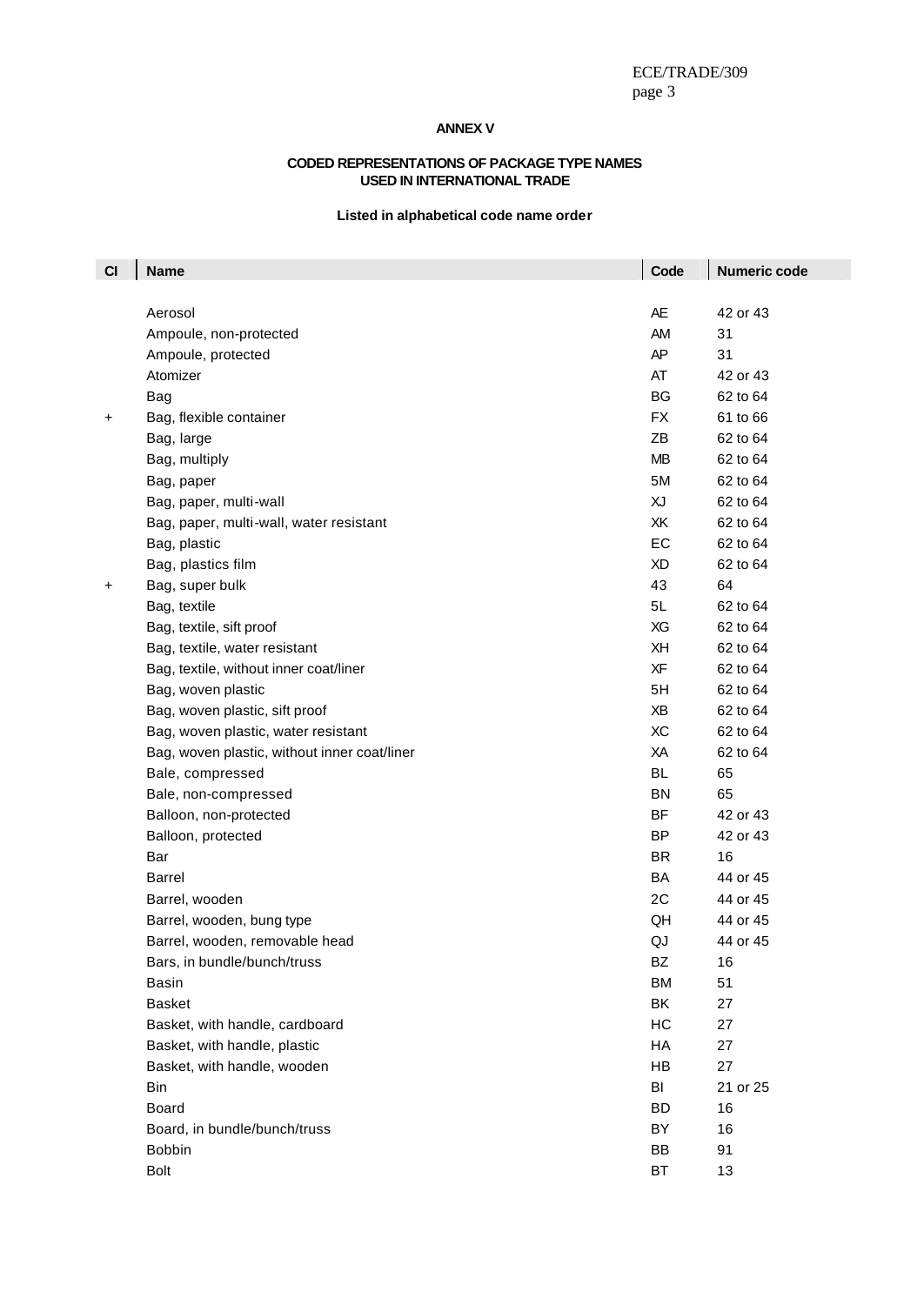### **ANNEX V**

#### **CODED REPRESENTATIONS OF PACKAGE TYPE NAMES USED IN INTERNATIONAL TRADE**

### **Listed in alphabetical code name order**

| C1 | <b>Name</b>                                  | Code      | <b>Numeric code</b> |
|----|----------------------------------------------|-----------|---------------------|
|    | Aerosol                                      | <b>AE</b> | 42 or 43            |
|    | Ampoule, non-protected                       | AM        | 31                  |
|    | Ampoule, protected                           | AP        | 31                  |
|    | Atomizer                                     | AT        | 42 or 43            |
|    | Bag                                          | BG        | 62 to 64            |
|    | Bag, flexible container                      | <b>FX</b> | 61 to 66            |
| +  | Bag, large                                   | ΖB        | 62 to 64            |
|    | Bag, multiply                                | <b>MB</b> | 62 to 64            |
|    |                                              | 5M        | 62 to 64            |
|    | Bag, paper                                   | XJ        | 62 to 64            |
|    | Bag, paper, multi-wall                       | XK        | 62 to 64            |
|    | Bag, paper, multi-wall, water resistant      | EC        |                     |
|    | Bag, plastic                                 |           | 62 to 64            |
|    | Bag, plastics film                           | XD        | 62 to 64            |
| +  | Bag, super bulk                              | 43        | 64                  |
|    | Bag, textile                                 | 5L        | 62 to 64            |
|    | Bag, textile, sift proof                     | XG        | 62 to 64            |
|    | Bag, textile, water resistant                | XH<br>XF  | 62 to 64            |
|    | Bag, textile, without inner coat/liner       |           | 62 to 64            |
|    | Bag, woven plastic                           | 5H        | 62 to 64            |
|    | Bag, woven plastic, sift proof               | ΧB        | 62 to 64            |
|    | Bag, woven plastic, water resistant          | XC        | 62 to 64            |
|    | Bag, woven plastic, without inner coat/liner | XA        | 62 to 64            |
|    | Bale, compressed                             | BL.       | 65                  |
|    | Bale, non-compressed                         | <b>BN</b> | 65                  |
|    | Balloon, non-protected                       | BF        | 42 or 43            |
|    | Balloon, protected                           | <b>BP</b> | 42 or 43            |
|    | Bar                                          | <b>BR</b> | 16                  |
|    | Barrel                                       | BA        | 44 or 45            |
|    | Barrel, wooden                               | 2C        | 44 or 45            |
|    | Barrel, wooden, bung type                    | QH        | 44 or 45            |
|    | Barrel, wooden, removable head               | QJ        | 44 or 45            |
|    | Bars, in bundle/bunch/truss                  | BZ        | 16                  |
|    | Basin                                        | <b>BM</b> | 51                  |
|    | <b>Basket</b>                                | BK        | 27                  |
|    | Basket, with handle, cardboard               | HC        | 27                  |
|    | Basket, with handle, plastic                 | HA        | 27                  |
|    | Basket, with handle, wooden                  | HB        | 27                  |
|    | <b>Bin</b>                                   | BI        | 21 or 25            |
|    | Board                                        | <b>BD</b> | 16                  |
|    | Board, in bundle/bunch/truss                 | BY        | 16                  |
|    | <b>Bobbin</b>                                | BB        | 91                  |
|    | Bolt                                         | BT        | 13                  |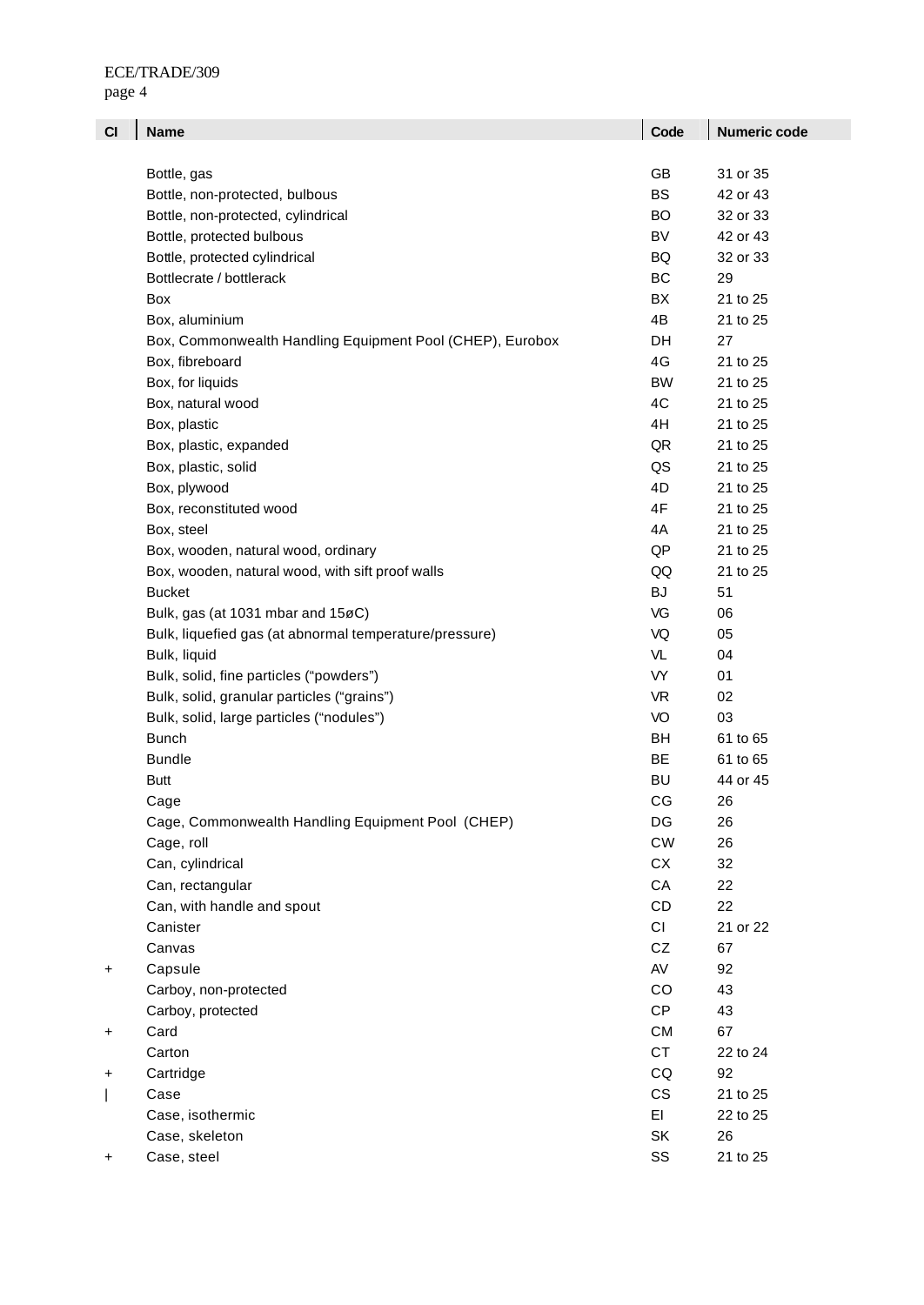| CI        | <b>Name</b>                                               | Code             | <b>Numeric code</b> |
|-----------|-----------------------------------------------------------|------------------|---------------------|
|           |                                                           |                  |                     |
|           | Bottle, gas                                               | GB               | 31 or 35            |
|           | Bottle, non-protected, bulbous                            | <b>BS</b>        | 42 or 43            |
|           | Bottle, non-protected, cylindrical                        | <b>BO</b>        | 32 or 33            |
|           | Bottle, protected bulbous                                 | <b>BV</b>        | 42 or 43            |
|           | Bottle, protected cylindrical                             | BQ.              | 32 or 33            |
|           | Bottlecrate / bottlerack                                  | <b>BC</b>        | 29                  |
|           | Box                                                       | <b>BX</b>        | 21 to 25            |
|           | Box, aluminium                                            | 4B               | 21 to 25            |
|           | Box, Commonwealth Handling Equipment Pool (CHEP), Eurobox | DH               | 27                  |
|           | Box, fibreboard                                           | 4G               | 21 to 25            |
|           | Box, for liquids                                          | <b>BW</b>        | 21 to 25            |
|           | Box, natural wood                                         | 4C               | 21 to 25            |
|           | Box, plastic                                              | 4H               | 21 to 25            |
|           | Box, plastic, expanded                                    | QR               | 21 to 25            |
|           | Box, plastic, solid                                       | QS               | 21 to 25            |
|           | Box, plywood                                              | 4D               | 21 to 25            |
|           | Box, reconstituted wood                                   | 4F               | 21 to 25            |
|           | Box, steel                                                | 4A               | 21 to 25            |
|           | Box, wooden, natural wood, ordinary                       | QP               | 21 to 25            |
|           | Box, wooden, natural wood, with sift proof walls          | QQ               | 21 to 25            |
|           | <b>Bucket</b>                                             | BJ               | 51                  |
|           | Bulk, gas (at 1031 mbar and 15øC)                         | VG               | 06                  |
|           | Bulk, liquefied gas (at abnormal temperature/pressure)    | VQ               | 05                  |
|           | Bulk, liquid                                              | VL               | 04                  |
|           | Bulk, solid, fine particles ("powders")                   | VY               | 01                  |
|           | Bulk, solid, granular particles ("grains")                | <b>VR</b>        | 02                  |
|           | Bulk, solid, large particles ("nodules")                  | VO               | 03                  |
|           | <b>Bunch</b>                                              | BH               | 61 to 65            |
|           | <b>Bundle</b>                                             | BE               | 61 to 65            |
|           | Butt                                                      | <b>BU</b>        | 44 or 45            |
|           | Cage                                                      | CG               | 26                  |
|           | Cage, Commonwealth Handling Equipment Pool (CHEP)         | DG               | 26                  |
|           | Cage, roll                                                | ${\sf\small CW}$ | 26                  |
|           | Can, cylindrical                                          | СX               | 32                  |
|           | Can, rectangular                                          | CA               | 22                  |
|           | Can, with handle and spout                                | CD               | 22                  |
|           | Canister                                                  | CI               | 21 or 22            |
|           | Canvas                                                    | CZ               | 67                  |
| +         | Capsule                                                   | AV               | 92                  |
|           | Carboy, non-protected                                     | CO               | 43                  |
|           | Carboy, protected                                         | <b>CP</b>        | 43                  |
| $\ddot{}$ | Card                                                      | CM               | 67                  |
|           | Carton                                                    | <b>CT</b>        | 22 to 24            |
| +         | Cartridge                                                 | CQ               | 92                  |
|           | Case                                                      | CS               | 21 to 25            |
|           | Case, isothermic                                          | EI               | 22 to 25            |
|           | Case, skeleton                                            | SK               | 26                  |
| +         | Case, steel                                               | SS               | 21 to 25            |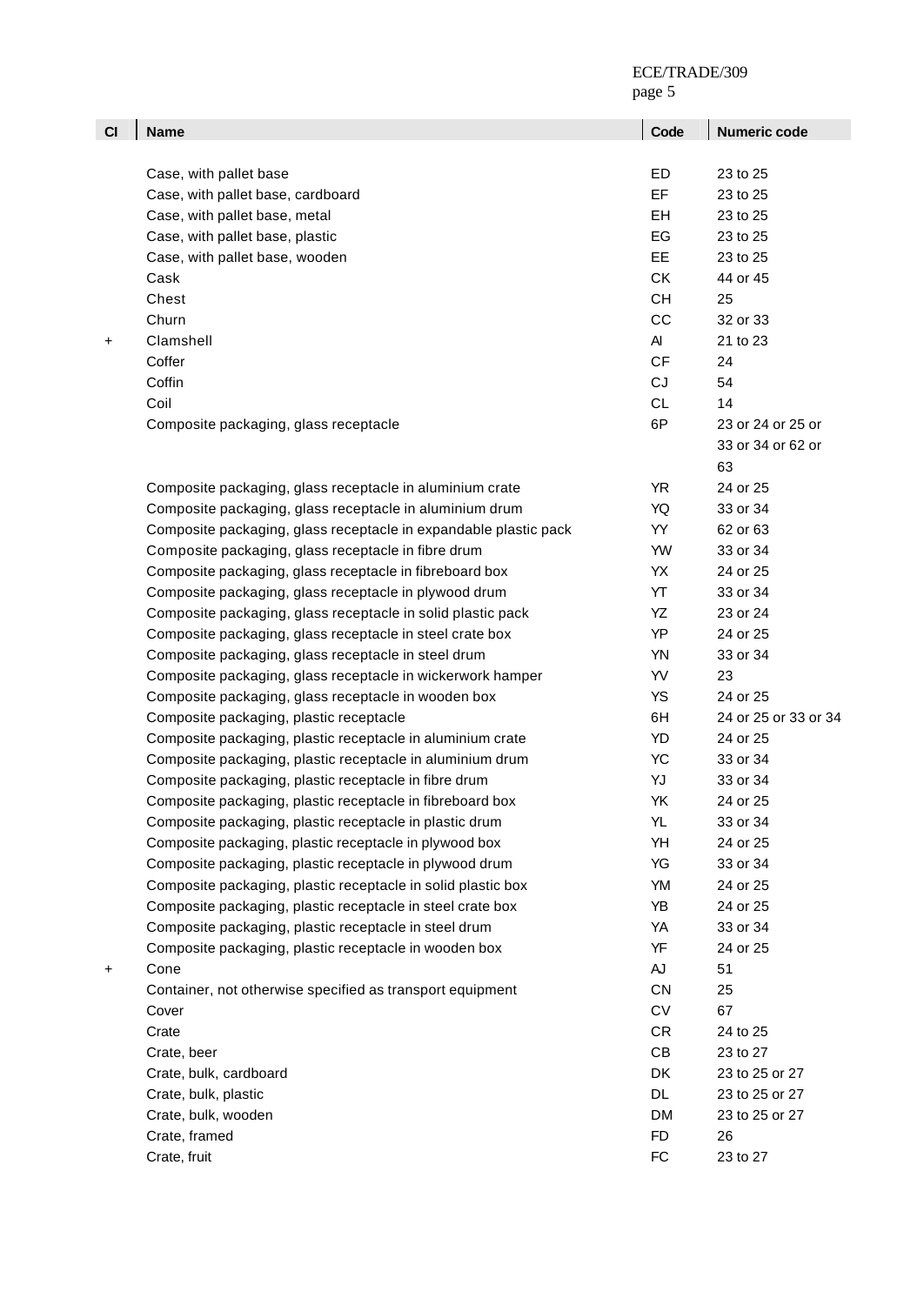| C1 | <b>Name</b>                                                      | Code       | Numeric code         |
|----|------------------------------------------------------------------|------------|----------------------|
|    |                                                                  |            |                      |
|    | Case, with pallet base                                           | ED         | 23 to 25             |
|    | Case, with pallet base, cardboard                                | EF         | 23 to 25             |
|    | Case, with pallet base, metal                                    | EH         | 23 to 25             |
|    | Case, with pallet base, plastic                                  | EG         | 23 to 25             |
|    | Case, with pallet base, wooden                                   | EE.        | 23 to 25             |
|    | Cask                                                             | <b>CK</b>  | 44 or 45             |
|    | Chest                                                            | <b>CH</b>  | 25                   |
|    | Churn                                                            | CC         | 32 or 33             |
|    |                                                                  | AI         |                      |
| +  | Clamshell                                                        |            | 21 to 23             |
|    | Coffer                                                           | CF         | 24                   |
|    | Coffin                                                           | CJ         | 54                   |
|    | Coil                                                             | <b>CL</b>  | 14                   |
|    | Composite packaging, glass receptacle                            | 6P         | 23 or 24 or 25 or    |
|    |                                                                  |            | 33 or 34 or 62 or    |
|    |                                                                  |            | 63                   |
|    | Composite packaging, glass receptacle in aluminium crate         | <b>YR</b>  | 24 or 25             |
|    | Composite packaging, glass receptacle in aluminium drum          | YQ         | 33 or 34             |
|    | Composite packaging, glass receptacle in expandable plastic pack | YY         | 62 or 63             |
|    | Composite packaging, glass receptacle in fibre drum              | YW         | 33 or 34             |
|    | Composite packaging, glass receptacle in fibreboard box          | YX         | 24 or 25             |
|    | Composite packaging, glass receptacle in plywood drum            | YT         | 33 or 34             |
|    | Composite packaging, glass receptacle in solid plastic pack      | YZ         | 23 or 24             |
|    | Composite packaging, glass receptacle in steel crate box         | YP         | 24 or 25             |
|    | Composite packaging, glass receptacle in steel drum              | <b>YN</b>  | 33 or 34             |
|    | Composite packaging, glass receptacle in wickerwork hamper       | YV         | 23                   |
|    | Composite packaging, glass receptacle in wooden box              | <b>YS</b>  | 24 or 25             |
|    | Composite packaging, plastic receptacle                          | 6H         | 24 or 25 or 33 or 34 |
|    | Composite packaging, plastic receptacle in aluminium crate       | YD         | 24 or 25             |
|    | Composite packaging, plastic receptacle in aluminium drum        | YC         | 33 or 34             |
|    | Composite packaging, plastic receptacle in fibre drum            | YJ         | 33 or 34             |
|    | Composite packaging, plastic receptacle in fibreboard box        | YK         | 24 or 25             |
|    | Composite packaging, plastic receptacle in plastic drum          | YL         | 33 or 34             |
|    | Composite packaging, plastic receptacle in plywood box           | YH         | 24 or 25             |
|    | Composite packaging, plastic receptacle in plywood drum          | YG         | 33 or 34             |
|    | Composite packaging, plastic receptacle in solid plastic box     | YM         | 24 or 25             |
|    | Composite packaging, plastic receptacle in steel crate box       | YB         | 24 or 25             |
|    | Composite packaging, plastic receptacle in steel drum            | YA         | 33 or 34             |
|    | Composite packaging, plastic receptacle in wooden box            | YF         | 24 or 25             |
| +  | Cone                                                             | ${\sf A}$  | 51                   |
|    | Container, not otherwise specified as transport equipment        | CN         | 25                   |
|    | Cover                                                            | ${\sf CV}$ | 67                   |
|    | Crate                                                            | CR         | 24 to 25             |
|    | Crate, beer                                                      | CB         | 23 to 27             |
|    | Crate, bulk, cardboard                                           | DK         | 23 to 25 or 27       |
|    | Crate, bulk, plastic                                             | DL         | 23 to 25 or 27       |
|    | Crate, bulk, wooden                                              | DM         | 23 to 25 or 27       |
|    | Crate, framed                                                    | <b>FD</b>  | 26                   |
|    | Crate, fruit                                                     | FC         | 23 to 27             |
|    |                                                                  |            |                      |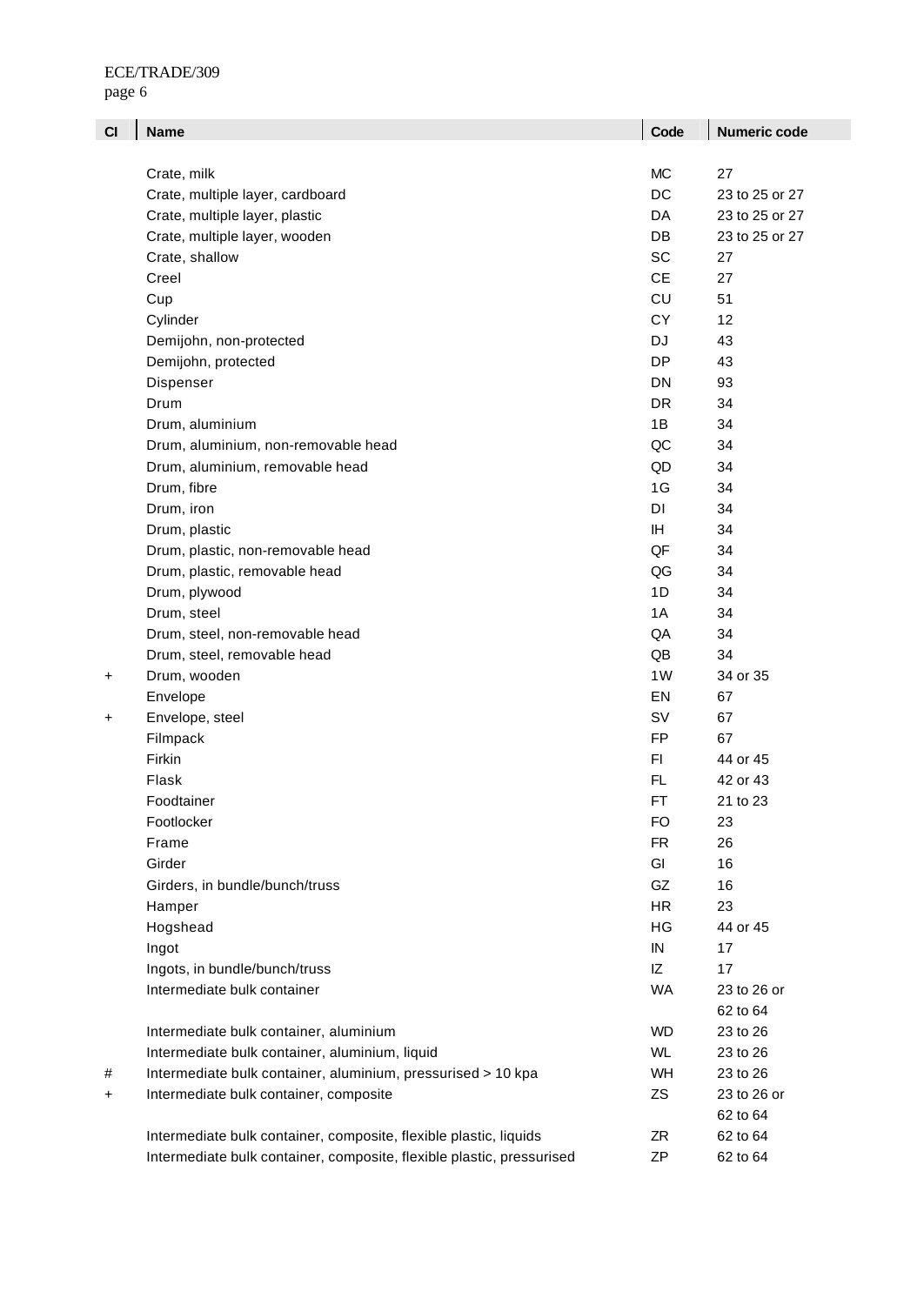| CI | <b>Name</b>                                                           | Code       | <b>Numeric code</b> |
|----|-----------------------------------------------------------------------|------------|---------------------|
|    |                                                                       |            |                     |
|    | Crate, milk                                                           | <b>MC</b>  | 27                  |
|    | Crate, multiple layer, cardboard                                      | DC         | 23 to 25 or 27      |
|    | Crate, multiple layer, plastic                                        | DA         | 23 to 25 or 27      |
|    | Crate, multiple layer, wooden                                         | DB         | 23 to 25 or 27      |
|    | Crate, shallow                                                        | SC         | 27                  |
|    | Creel                                                                 | <b>CE</b>  | 27                  |
|    | Cup                                                                   | CU         | 51                  |
|    | Cylinder                                                              | CY         | 12                  |
|    | Demijohn, non-protected                                               | <b>DJ</b>  | 43                  |
|    | Demijohn, protected                                                   | DP         | 43                  |
|    | Dispenser                                                             | <b>DN</b>  | 93                  |
|    | Drum<br><b>DR</b>                                                     |            | 34                  |
|    | Drum, aluminium                                                       | 1B         | 34                  |
|    | Drum, aluminium, non-removable head                                   | QC         | 34                  |
|    | Drum, aluminium, removable head                                       | QD         | 34                  |
|    | Drum, fibre                                                           | 1G         | 34                  |
|    | Drum, iron                                                            | <b>DI</b>  | 34                  |
|    | Drum, plastic                                                         | IH.        | 34                  |
|    | Drum, plastic, non-removable head                                     | QF         | 34                  |
|    | Drum, plastic, removable head                                         | QG         | 34                  |
|    | Drum, plywood                                                         | 1D         | 34                  |
|    | Drum, steel                                                           | 1A         | 34                  |
|    | Drum, steel, non-removable head                                       | QA         | 34                  |
|    | Drum, steel, removable head                                           | QB         | 34                  |
| +  | Drum, wooden                                                          | 1W         | 34 or 35            |
|    | Envelope                                                              | EN         | 67                  |
| +  | Envelope, steel                                                       | SV         | 67                  |
|    | Filmpack                                                              | <b>FP</b>  | 67                  |
|    | Firkin                                                                | F1         | 44 or 45            |
|    | Flask                                                                 | <b>FL</b>  | 42 or 43            |
|    | Foodtainer                                                            | FT         | 21 to 23            |
|    | Footlocker                                                            | FO         | 23                  |
|    | Frame                                                                 | <b>FR</b>  | 26                  |
|    | Girder                                                                | GI         | 16                  |
|    | Girders, in bundle/bunch/truss                                        | GZ         | 16                  |
|    | Hamper                                                                | <b>HR</b>  | 23                  |
|    | Hogshead                                                              | HG         | 44 or 45            |
|    | Ingot                                                                 | ${\sf IN}$ | 17                  |
|    | Ingots, in bundle/bunch/truss                                         | IZ         | 17                  |
|    | Intermediate bulk container                                           | <b>WA</b>  | 23 to 26 or         |
|    |                                                                       |            | 62 to 64            |
|    | Intermediate bulk container, aluminium                                | <b>WD</b>  | 23 to 26            |
|    | Intermediate bulk container, aluminium, liquid                        | <b>WL</b>  | 23 to 26            |
| #  | Intermediate bulk container, aluminium, pressurised > 10 kpa          | WH         | 23 to 26            |
| +  | Intermediate bulk container, composite                                | ZS         | 23 to 26 or         |
|    |                                                                       |            | 62 to 64            |
|    | Intermediate bulk container, composite, flexible plastic, liquids     | ZR         | 62 to 64            |
|    | Intermediate bulk container, composite, flexible plastic, pressurised | ΖP         | 62 to 64            |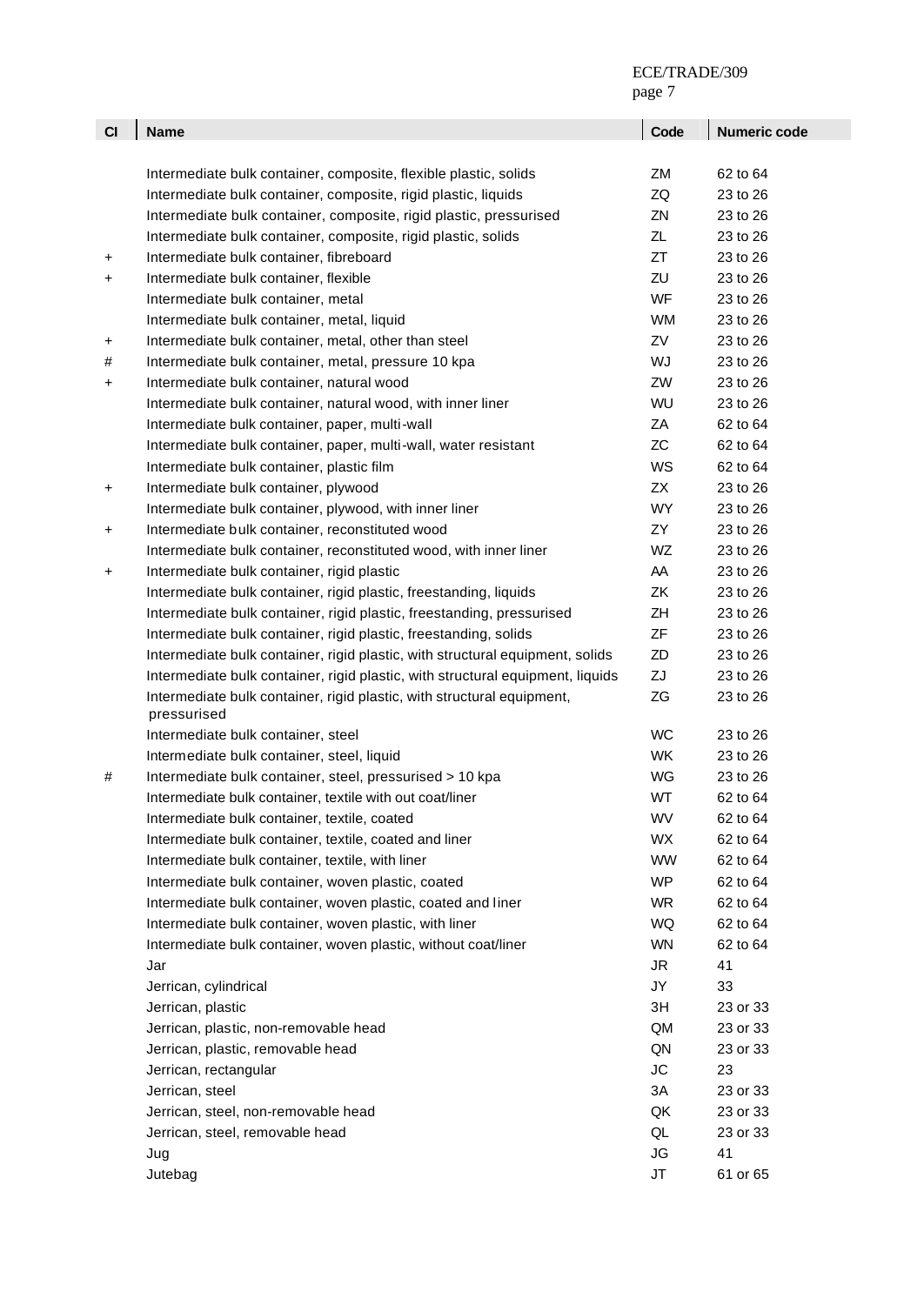|           |                                                                                       | page 7    |              |
|-----------|---------------------------------------------------------------------------------------|-----------|--------------|
| CI        | <b>Name</b>                                                                           | Code      | Numeric code |
|           |                                                                                       |           |              |
|           | Intermediate bulk container, composite, flexible plastic, solids                      | ZM        | 62 to 64     |
|           | Intermediate bulk container, composite, rigid plastic, liquids                        | ZQ        | 23 to 26     |
|           | Intermediate bulk container, composite, rigid plastic, pressurised                    | ZN        | 23 to 26     |
|           | Intermediate bulk container, composite, rigid plastic, solids                         | ZL        | 23 to 26     |
| +         | Intermediate bulk container, fibreboard                                               | ZT        | 23 to 26     |
| +         | Intermediate bulk container, flexible                                                 | ZU        | 23 to 26     |
|           | Intermediate bulk container, metal                                                    | <b>WF</b> | 23 to 26     |
|           | Intermediate bulk container, metal, liquid                                            | <b>WM</b> | 23 to 26     |
| $\ddot{}$ | Intermediate bulk container, metal, other than steel                                  | ZV        | 23 to 26     |
| #         | Intermediate bulk container, metal, pressure 10 kpa                                   | WJ        | 23 to 26     |
| +         | Intermediate bulk container, natural wood                                             | ZW        | 23 to 26     |
|           | Intermediate bulk container, natural wood, with inner liner                           | WU        | 23 to 26     |
|           | Intermediate bulk container, paper, multi-wall                                        | ZA        | 62 to 64     |
|           | Intermediate bulk container, paper, multi-wall, water resistant                       | <b>ZC</b> | 62 to 64     |
|           | Intermediate bulk container, plastic film                                             | WS        | 62 to 64     |
| $\ddot{}$ | Intermediate bulk container, plywood                                                  | ZX        | 23 to 26     |
|           | Intermediate bulk container, plywood, with inner liner                                | WY        | 23 to 26     |
| $\ddot{}$ | Intermediate bulk container, reconstituted wood                                       | ZY        | 23 to 26     |
|           | Intermediate bulk container, reconstituted wood, with inner liner                     | WZ        | 23 to 26     |
| $\ddot{}$ | Intermediate bulk container, rigid plastic                                            | AA        | 23 to 26     |
|           | Intermediate bulk container, rigid plastic, freestanding, liquids                     | ZK        | 23 to 26     |
|           | Intermediate bulk container, rigid plastic, freestanding, pressurised                 | ZΗ        | 23 to 26     |
|           | Intermediate bulk container, rigid plastic, freestanding, solids                      | ZF        | 23 to 26     |
|           | Intermediate bulk container, rigid plastic, with structural equipment, solids         | ZD        | 23 to 26     |
|           | Intermediate bulk container, rigid plastic, with structural equipment, liquids        | ZJ        | 23 to 26     |
|           | Intermediate bulk container, rigid plastic, with structural equipment,<br>pressurised | ZG        | 23 to 26     |
|           | Intermediate bulk container, steel                                                    | <b>WC</b> | 23 to 26     |
|           | Intermediate bulk container, steel, liquid                                            | <b>WK</b> | 23 to 26     |
|           | Intermediate bulk container, steel, pressurised > 10 kpa                              | WG        | 23 to 26     |
|           | Intermediate bulk container, textile with out coat/liner                              | WT        | 62 to 64     |
|           | Intermediate bulk container, textile, coated                                          | WV        | 62 to 64     |
|           | Intermediate bulk container, textile, coated and liner                                | <b>WX</b> | 62 to 64     |
|           | Intermediate bulk container, textile, with liner                                      | <b>WW</b> | 62 to 64     |
|           | Intermediate bulk container, woven plastic, coated                                    | <b>WP</b> | 62 to 64     |
|           | Intermediate bulk container, woven plastic, coated and liner                          | <b>WR</b> | 62 to 64     |
|           | Intermediate bulk container, woven plastic, with liner                                | WQ        | 62 to 64     |
|           | Intermediate bulk container, woven plastic, without coat/liner                        | <b>WN</b> | 62 to 64     |
|           | Jar                                                                                   | <b>JR</b> | 41           |
|           | Jerrican, cylindrical                                                                 | JY        | 33           |
|           | Jerrican, plastic                                                                     | 3H        | 23 or 33     |
|           | Jerrican, plastic, non-removable head                                                 | QM        | 23 or 33     |
|           | Jerrican, plastic, removable head                                                     | QN        | 23 or 33     |
|           | Jerrican, rectangular                                                                 | <b>JC</b> | 23           |
|           | Jerrican, steel                                                                       | 3A        | 23 or 33     |
|           | Jerrican, steel, non-removable head                                                   | QK        | 23 or 33     |
|           | Jerrican, steel, removable head                                                       | QL        | 23 or 33     |
|           | Jug                                                                                   | <b>JG</b> | 41           |
|           | Jutebag                                                                               | JT        | 61 or 65     |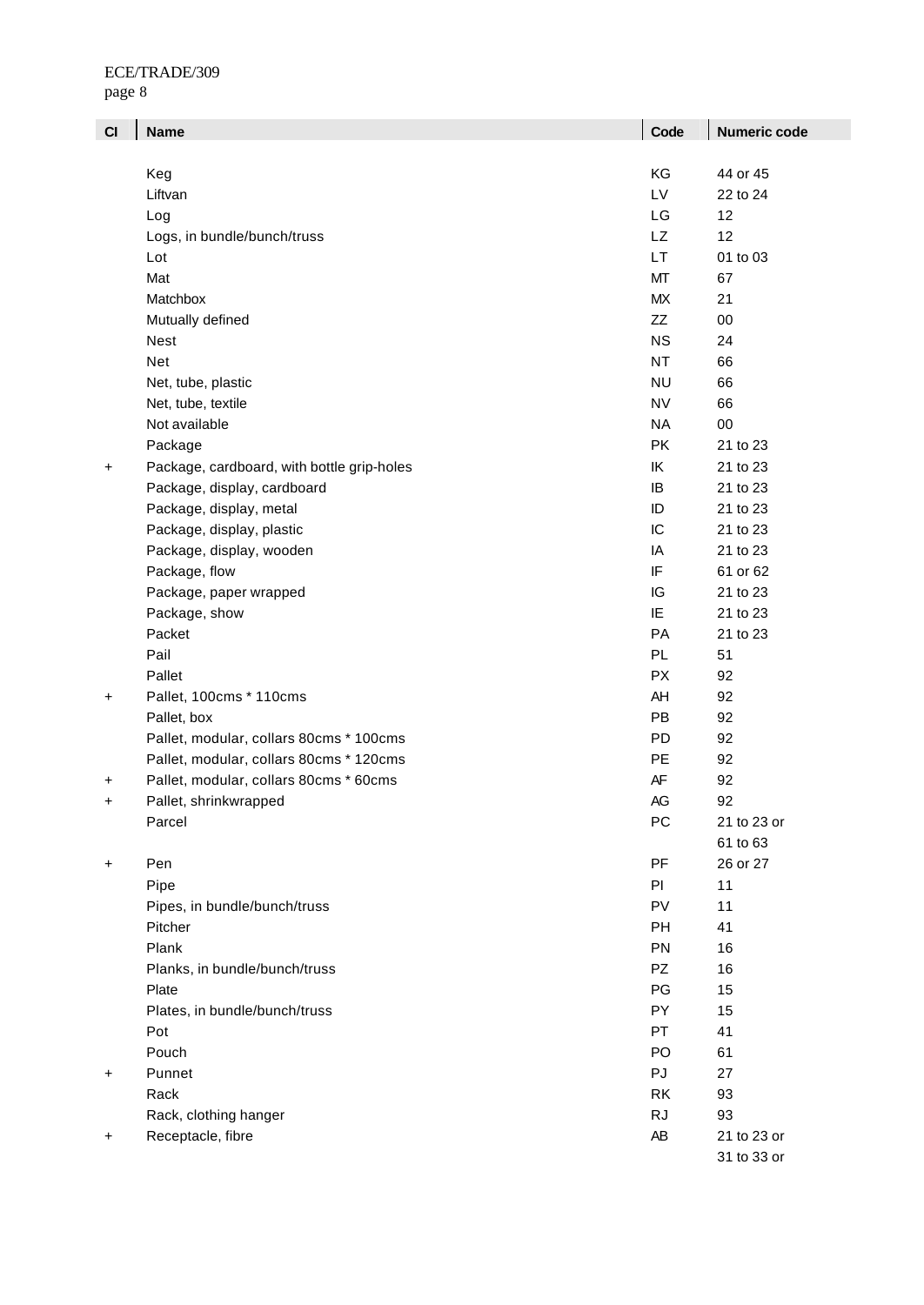| CI        | <b>Name</b>                                | Code      | <b>Numeric code</b> |
|-----------|--------------------------------------------|-----------|---------------------|
|           |                                            |           |                     |
|           | Keg                                        | KG        | 44 or 45            |
|           | Liftvan                                    | LV        | 22 to 24            |
|           | Log                                        | LG        | 12                  |
|           | Logs, in bundle/bunch/truss                | <b>LZ</b> | 12                  |
|           | Lot                                        | LT        | 01 to 03            |
|           | Mat                                        | MT        | 67                  |
|           | Matchbox                                   | <b>MX</b> | 21                  |
|           | Mutually defined                           | ZZ        | $00\,$              |
|           | Nest                                       | <b>NS</b> | 24                  |
|           | Net                                        | <b>NT</b> | 66                  |
|           | Net, tube, plastic                         | <b>NU</b> | 66                  |
|           | Net, tube, textile                         | <b>NV</b> | 66                  |
|           | Not available                              | <b>NA</b> | 00                  |
|           | Package                                    | PK        | 21 to 23            |
| +         | Package, cardboard, with bottle grip-holes | IK        | 21 to 23            |
|           | Package, display, cardboard                | IB        | 21 to 23            |
|           | Package, display, metal                    | ID        | 21 to 23            |
|           | Package, display, plastic                  | IC        | 21 to 23            |
|           | Package, display, wooden                   | IA        | 21 to 23            |
|           | Package, flow                              | IF        | 61 or 62            |
|           | Package, paper wrapped                     | IG        | 21 to 23            |
|           | Package, show                              | IE        | 21 to 23            |
|           | Packet                                     | PA        | 21 to 23            |
|           | Pail                                       | <b>PL</b> | 51                  |
|           | Pallet                                     | <b>PX</b> | 92                  |
| +         | Pallet, 100cms * 110cms                    | AH        | 92                  |
|           | Pallet, box                                | PB        | 92                  |
|           | Pallet, modular, collars 80cms * 100cms    | <b>PD</b> | 92                  |
|           | Pallet, modular, collars 80cms * 120cms    | PE        | 92                  |
| +         | Pallet, modular, collars 80cms * 60cms     | AF        | 92                  |
| +         | Pallet, shrinkwrapped                      | AG        | 92                  |
|           | Parcel                                     | PC        | 21 to 23 or         |
|           |                                            |           | 61 to 63            |
| +         | Pen                                        | PF        | 26 or 27            |
|           | Pipe                                       | PI        | 11                  |
|           | Pipes, in bundle/bunch/truss               | PV        | 11                  |
|           | Pitcher                                    | PH        | 41                  |
|           | Plank                                      | PN        | 16                  |
|           | Planks, in bundle/bunch/truss              | PZ        | 16                  |
|           | Plate                                      | PG        | 15                  |
|           | Plates, in bundle/bunch/truss              | PY        | 15                  |
|           | Pot                                        | <b>PT</b> | 41                  |
|           | Pouch                                      | PO        | 61                  |
| $\ddot{}$ | Punnet                                     | PJ        | 27                  |
|           | Rack                                       | RK        | 93                  |
|           | Rack, clothing hanger                      | <b>RJ</b> | 93                  |
| $\ddot{}$ | Receptacle, fibre                          | AB        | 21 to 23 or         |
|           |                                            |           | 31 to 33 or         |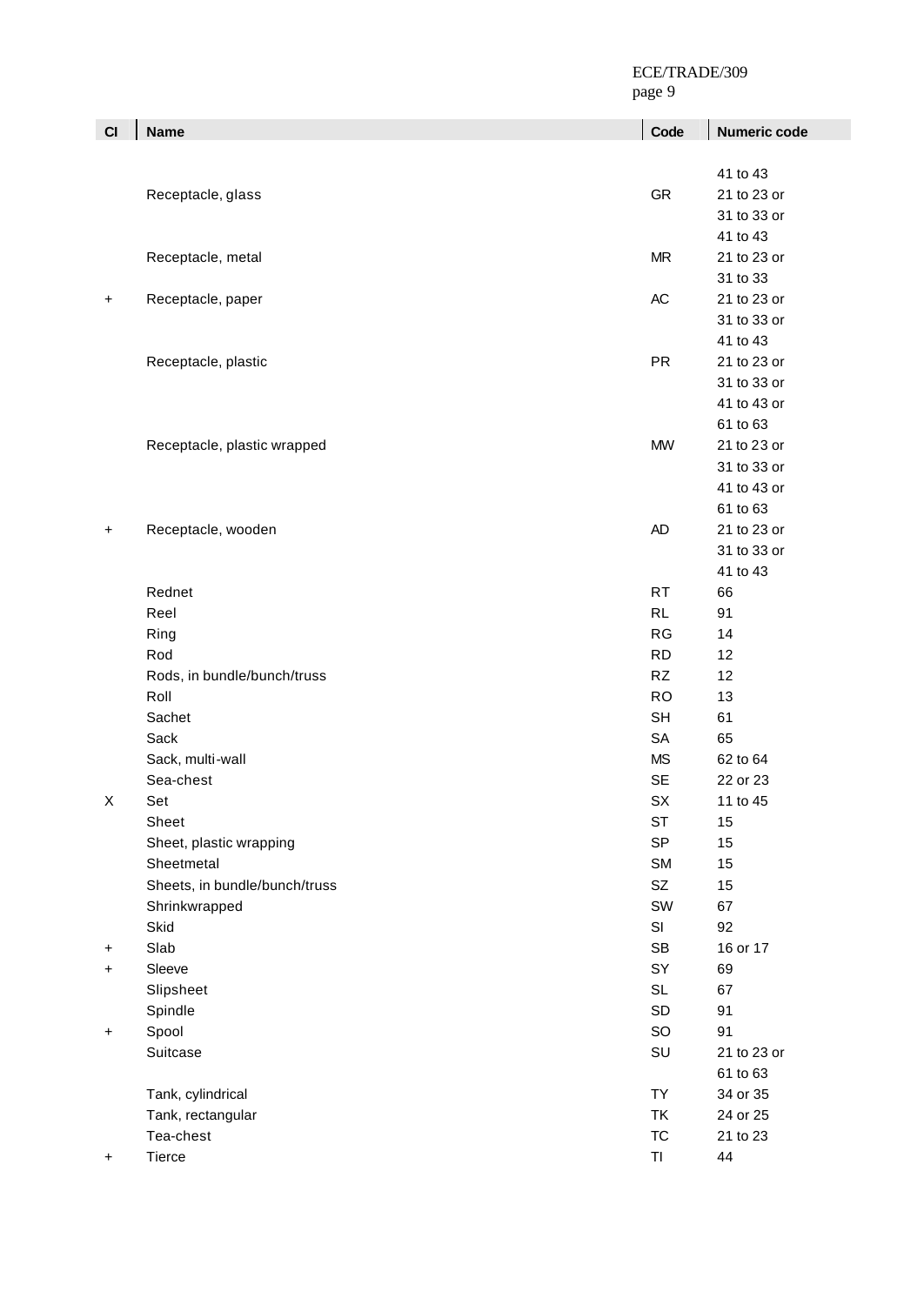page 9

| CI | <b>Name</b>                   | Code      | Numeric code |
|----|-------------------------------|-----------|--------------|
|    |                               |           |              |
|    |                               |           | 41 to 43     |
|    | Receptacle, glass             | GR        | 21 to 23 or  |
|    |                               |           | 31 to 33 or  |
|    |                               |           | 41 to 43     |
|    | Receptacle, metal             | MR        | 21 to 23 or  |
|    |                               |           | 31 to 33     |
| +  | Receptacle, paper             | AC        | 21 to 23 or  |
|    |                               |           | 31 to 33 or  |
|    |                               |           | 41 to 43     |
|    | Receptacle, plastic           | <b>PR</b> | 21 to 23 or  |
|    |                               |           | 31 to 33 or  |
|    |                               |           | 41 to 43 or  |
|    |                               |           | 61 to 63     |
|    | Receptacle, plastic wrapped   | <b>MW</b> | 21 to 23 or  |
|    |                               |           | 31 to 33 or  |
|    |                               |           | 41 to 43 or  |
|    |                               |           | 61 to 63     |
| +  | Receptacle, wooden            | AD        | 21 to 23 or  |
|    |                               |           | 31 to 33 or  |
|    |                               |           | 41 to 43     |
|    | Rednet                        | <b>RT</b> | 66           |
|    | Reel                          | <b>RL</b> | 91           |
|    | Ring                          | RG        | 14           |
|    | Rod                           | <b>RD</b> | 12           |
|    | Rods, in bundle/bunch/truss   | <b>RZ</b> | 12           |
|    | Roll                          | <b>RO</b> | 13           |
|    | Sachet                        | <b>SH</b> | 61           |
|    | Sack                          | <b>SA</b> | 65           |
|    | Sack, multi-wall              | <b>MS</b> | 62 to 64     |
|    | Sea-chest                     | <b>SE</b> | 22 or 23     |
| X  | Set                           | SX        | 11 to 45     |
|    | Sheet                         | <b>ST</b> | 15           |
|    | Sheet, plastic wrapping       | <b>SP</b> | 15           |
|    | Sheetmetal                    | SM        | 15           |
|    | Sheets, in bundle/bunch/truss | SZ        | 15           |
|    | Shrinkwrapped                 | SW        | 67           |
|    | Skid                          | SI        | 92           |
| +  | Slab                          | SB<br>SY  | 16 or 17     |
| +  | Sleeve                        | <b>SL</b> | 69<br>67     |
|    | Slipsheet<br>Spindle          | SD        | 91           |
|    | Spool                         | SO        | 91           |
| +  | Suitcase                      | SU        | 21 to 23 or  |
|    |                               |           | 61 to 63     |
|    | Tank, cylindrical             | <b>TY</b> | 34 or 35     |
|    | Tank, rectangular             | TK        | 24 or 25     |
|    | Tea-chest                     | <b>TC</b> | 21 to 23     |
| +  | Tierce                        | $T\Gamma$ | 44           |
|    |                               |           |              |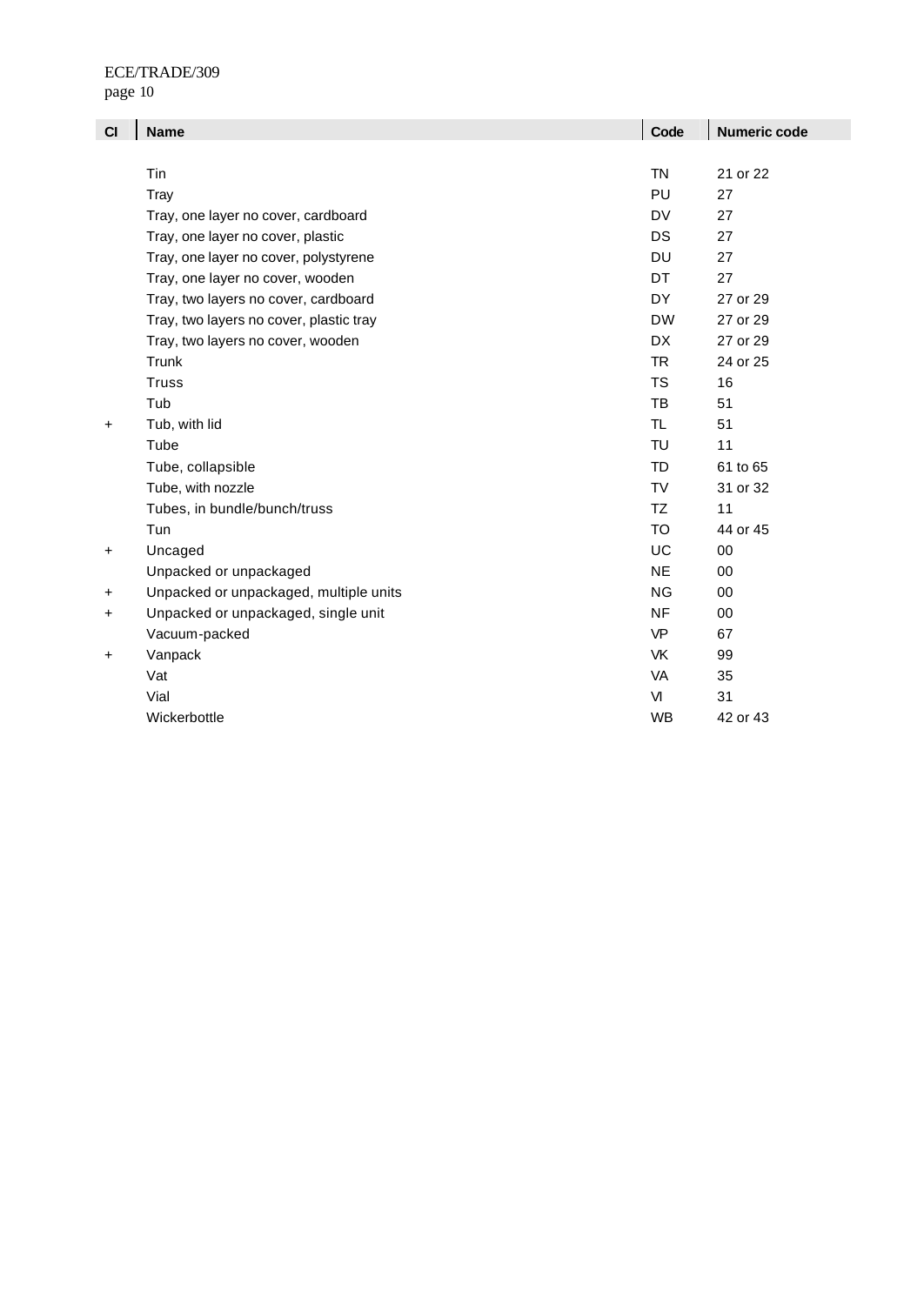| CI    | <b>Name</b>                             | Code      | <b>Numeric code</b> |
|-------|-----------------------------------------|-----------|---------------------|
|       |                                         |           |                     |
|       | Tin                                     | <b>TN</b> | 21 or 22            |
|       | Tray                                    | PU        | 27                  |
|       | Tray, one layer no cover, cardboard     | DV        | 27                  |
|       | Tray, one layer no cover, plastic       | DS        | 27                  |
|       | Tray, one layer no cover, polystyrene   | DU        | 27                  |
|       | Tray, one layer no cover, wooden        | <b>DT</b> | 27                  |
|       | Tray, two layers no cover, cardboard    | DY        | 27 or 29            |
|       | Tray, two layers no cover, plastic tray | <b>DW</b> | 27 or 29            |
|       | Tray, two layers no cover, wooden       | <b>DX</b> | 27 or 29            |
|       | Trunk                                   | <b>TR</b> | 24 or 25            |
|       | <b>Truss</b>                            | <b>TS</b> | 16                  |
|       | Tub                                     | <b>TB</b> | 51                  |
| +     | Tub, with lid                           | TL.       | 51                  |
|       | Tube                                    | TU        | 11                  |
|       | Tube, collapsible                       | <b>TD</b> | 61 to 65            |
|       | Tube, with nozzle                       | <b>TV</b> | 31 or 32            |
|       | Tubes, in bundle/bunch/truss            | TZ        | 11                  |
|       | Tun                                     | <b>TO</b> | 44 or 45            |
| +     | Uncaged                                 | UC        | 00                  |
|       | Unpacked or unpackaged                  | <b>NE</b> | 00                  |
| +     | Unpacked or unpackaged, multiple units  | <b>NG</b> | 00                  |
| +     | Unpacked or unpackaged, single unit     | <b>NF</b> | 00                  |
|       | Vacuum-packed                           | <b>VP</b> | 67                  |
| $\pm$ | Vanpack                                 | <b>VK</b> | 99                  |
|       | Vat                                     | VA        | 35                  |
|       | Vial                                    | VI        | 31                  |
|       | Wickerbottle                            | WB        | 42 or 43            |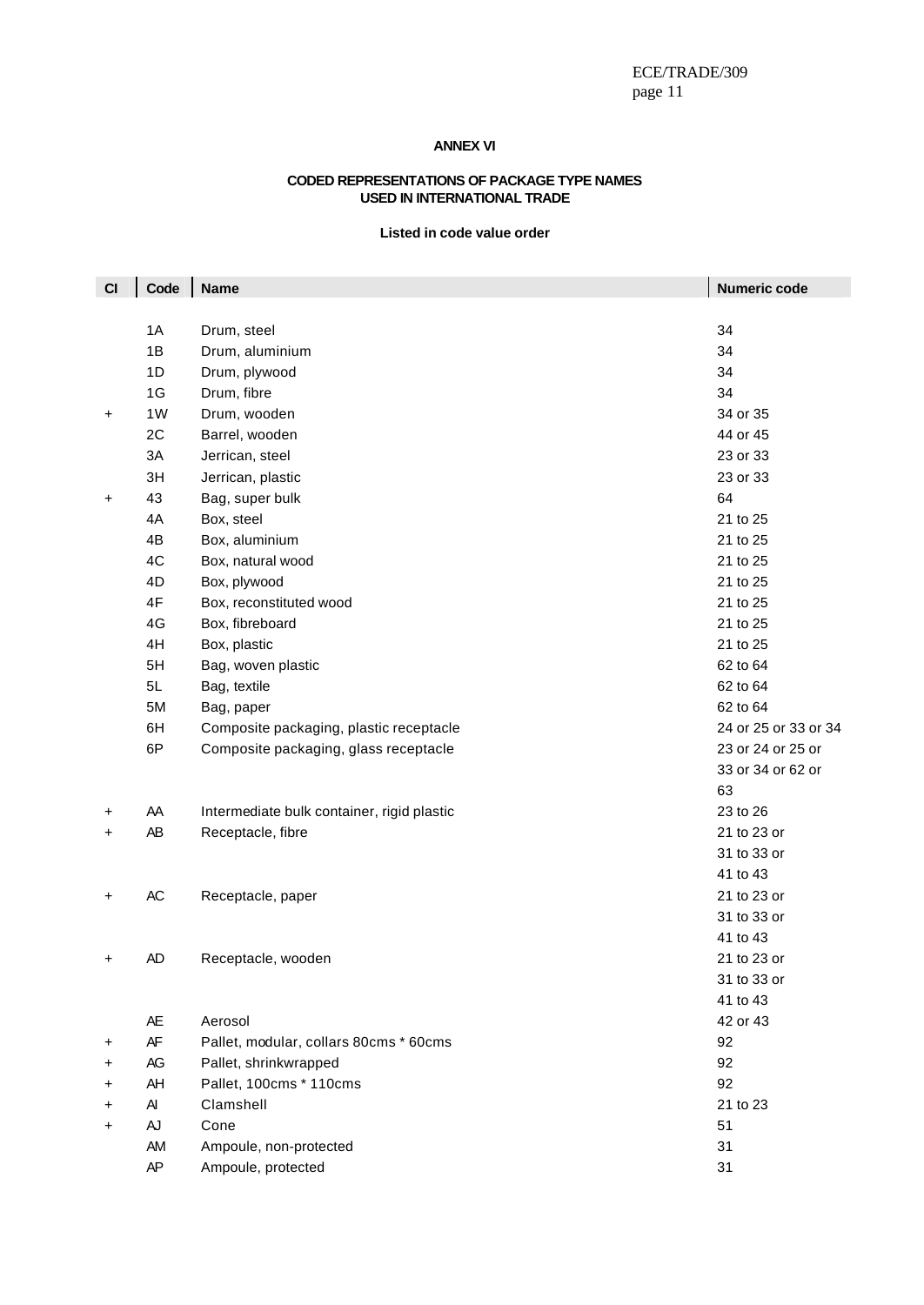### **ANNEX VI**

#### **CODED REPRESENTATIONS OF PACKAGE TYPE NAMES USED IN INTERNATIONAL TRADE**

### **Listed in code value order**

| CI | Code | <b>Name</b>                                | Numeric code         |
|----|------|--------------------------------------------|----------------------|
|    |      |                                            |                      |
|    | 1A   | Drum, steel                                | 34                   |
|    | 1B   | Drum, aluminium                            | 34                   |
|    | 1D   | Drum, plywood                              | 34                   |
|    | 1G   | Drum, fibre                                | 34                   |
| +  | 1W   | Drum, wooden                               | 34 or 35             |
|    | 2C   | Barrel, wooden                             | 44 or 45             |
|    | 3A   | Jerrican, steel                            | 23 or 33             |
|    | 3H   | Jerrican, plastic                          | 23 or 33             |
| +  | 43   | Bag, super bulk                            | 64                   |
|    | 4A   | Box, steel                                 | 21 to 25             |
|    | 4B   | Box, aluminium                             | 21 to 25             |
|    | 4C   | Box, natural wood                          | 21 to 25             |
|    | 4D   | Box, plywood                               | 21 to 25             |
|    | 4F   | Box, reconstituted wood                    | 21 to 25             |
|    | 4G   | Box, fibreboard                            | 21 to 25             |
|    | 4H   | Box, plastic                               | 21 to 25             |
|    | 5H   | Bag, woven plastic                         | 62 to 64             |
|    | 5L   | Bag, textile                               | 62 to 64             |
|    | 5M   | Bag, paper                                 | 62 to 64             |
|    | 6H   | Composite packaging, plastic receptacle    | 24 or 25 or 33 or 34 |
|    | 6P   | Composite packaging, glass receptacle      | 23 or 24 or 25 or    |
|    |      |                                            | 33 or 34 or 62 or    |
|    |      |                                            | 63                   |
| +  | AA   | Intermediate bulk container, rigid plastic | 23 to 26             |
| +  | AB   | Receptacle, fibre                          | 21 to 23 or          |
|    |      |                                            | 31 to 33 or          |
|    |      |                                            | 41 to 43             |
| +  | AC   | Receptacle, paper                          | 21 to 23 or          |
|    |      |                                            | 31 to 33 or          |
|    |      |                                            | 41 to 43             |
| +  | AD   | Receptacle, wooden                         | 21 to 23 or          |
|    |      |                                            | 31 to 33 or          |
|    |      |                                            | 41 to 43             |
|    | AE   | Aerosol                                    | 42 or 43             |
| +  | AF   | Pallet, modular, collars 80cms * 60cms     | 92                   |
| +  | AG   | Pallet, shrinkwrapped                      | 92                   |
| +  | AH   | Pallet, 100cms * 110cms                    | 92                   |
| +  | AI   | Clamshell                                  | 21 to 23             |
| +  | AJ   | Cone                                       | 51                   |
|    | AM   | Ampoule, non-protected                     | 31                   |
|    | AP   | Ampoule, protected                         | 31                   |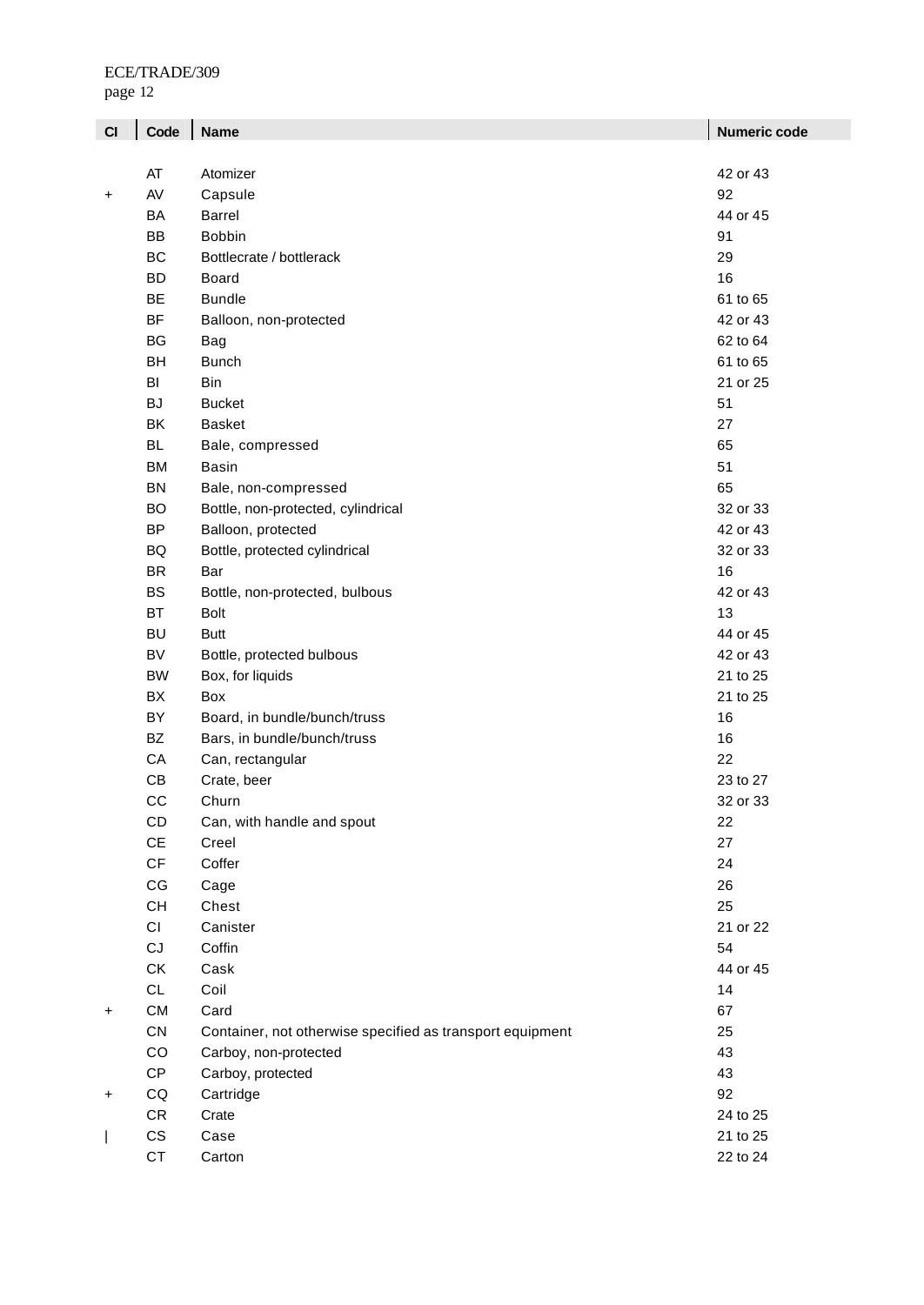page 12

| C1 | Code                   | <b>Name</b>                                               | <b>Numeric code</b> |
|----|------------------------|-----------------------------------------------------------|---------------------|
|    |                        |                                                           |                     |
|    | AT                     | Atomizer                                                  | 42 or 43            |
| +  | AV                     | Capsule                                                   | 92                  |
|    | BA                     | <b>Barrel</b>                                             | 44 or 45            |
|    | <b>BB</b>              | <b>Bobbin</b>                                             | 91                  |
|    | BC                     | Bottlecrate / bottlerack                                  | 29                  |
|    | <b>BD</b>              | Board                                                     | 16                  |
|    | <b>BE</b>              | <b>Bundle</b>                                             | 61 to 65            |
|    | <b>BF</b>              | Balloon, non-protected                                    | 42 or 43            |
|    | BG                     | <b>Bag</b>                                                | 62 to 64            |
|    | <b>BH</b>              | <b>Bunch</b>                                              | 61 to 65            |
|    | BI                     | Bin                                                       | 21 or 25            |
|    | <b>BJ</b>              | <b>Bucket</b>                                             | 51                  |
|    | BK                     | <b>Basket</b>                                             | 27                  |
|    | <b>BL</b>              | Bale, compressed                                          | 65                  |
|    | <b>BM</b>              | <b>Basin</b>                                              | 51                  |
|    | <b>BN</b>              | Bale, non-compressed                                      | 65                  |
|    | <b>BO</b>              | Bottle, non-protected, cylindrical                        | 32 or 33            |
|    | <b>BP</b>              | Balloon, protected                                        | 42 or 43            |
|    | BQ                     | Bottle, protected cylindrical                             | 32 or 33            |
|    | <b>BR</b>              | Bar                                                       | 16                  |
|    | <b>BS</b>              | Bottle, non-protected, bulbous                            | 42 or 43            |
|    | <b>BT</b>              | <b>Bolt</b>                                               | 13                  |
|    | <b>BU</b>              | <b>Butt</b>                                               | 44 or 45            |
|    | <b>BV</b>              | Bottle, protected bulbous                                 | 42 or 43            |
|    | <b>BW</b>              | Box, for liquids                                          | 21 to 25            |
|    | BX                     | Box                                                       | 21 to 25            |
|    | BY                     | Board, in bundle/bunch/truss                              | 16                  |
|    | <b>BZ</b>              | Bars, in bundle/bunch/truss                               | 16                  |
|    | CA                     | Can, rectangular                                          | 22                  |
|    | CB                     | Crate, beer                                               | 23 to 27            |
|    | CC                     | Churn                                                     | 32 or 33            |
|    | CD                     | Can, with handle and spout                                | 22                  |
|    | $\mathsf{CE}$          | Creel                                                     | 27                  |
|    | $\mathsf{C}\mathsf{F}$ | Coffer                                                    | 24                  |
|    | CG                     | Cage                                                      | 26                  |
|    | CH                     | Chest                                                     | 25                  |
|    | CI                     | Canister                                                  | 21 or 22            |
|    | CJ                     | Coffin                                                    | 54                  |
|    | СK                     | Cask                                                      | 44 or 45            |
|    | CL                     | Coil                                                      | 14                  |
|    | CM                     | Card                                                      | 67                  |
| +  |                        |                                                           |                     |
|    | CN                     | Container, not otherwise specified as transport equipment | 25                  |
|    | CO                     | Carboy, non-protected                                     | 43                  |
|    | CP                     | Carboy, protected                                         | 43                  |
| +  | $\mathsf{CQ}$          | Cartridge                                                 | 92                  |
|    | CR                     | Crate                                                     | 24 to 25            |
|    | CS                     | Case                                                      | 21 to 25            |
|    | <b>CT</b>              | Carton                                                    | 22 to 24            |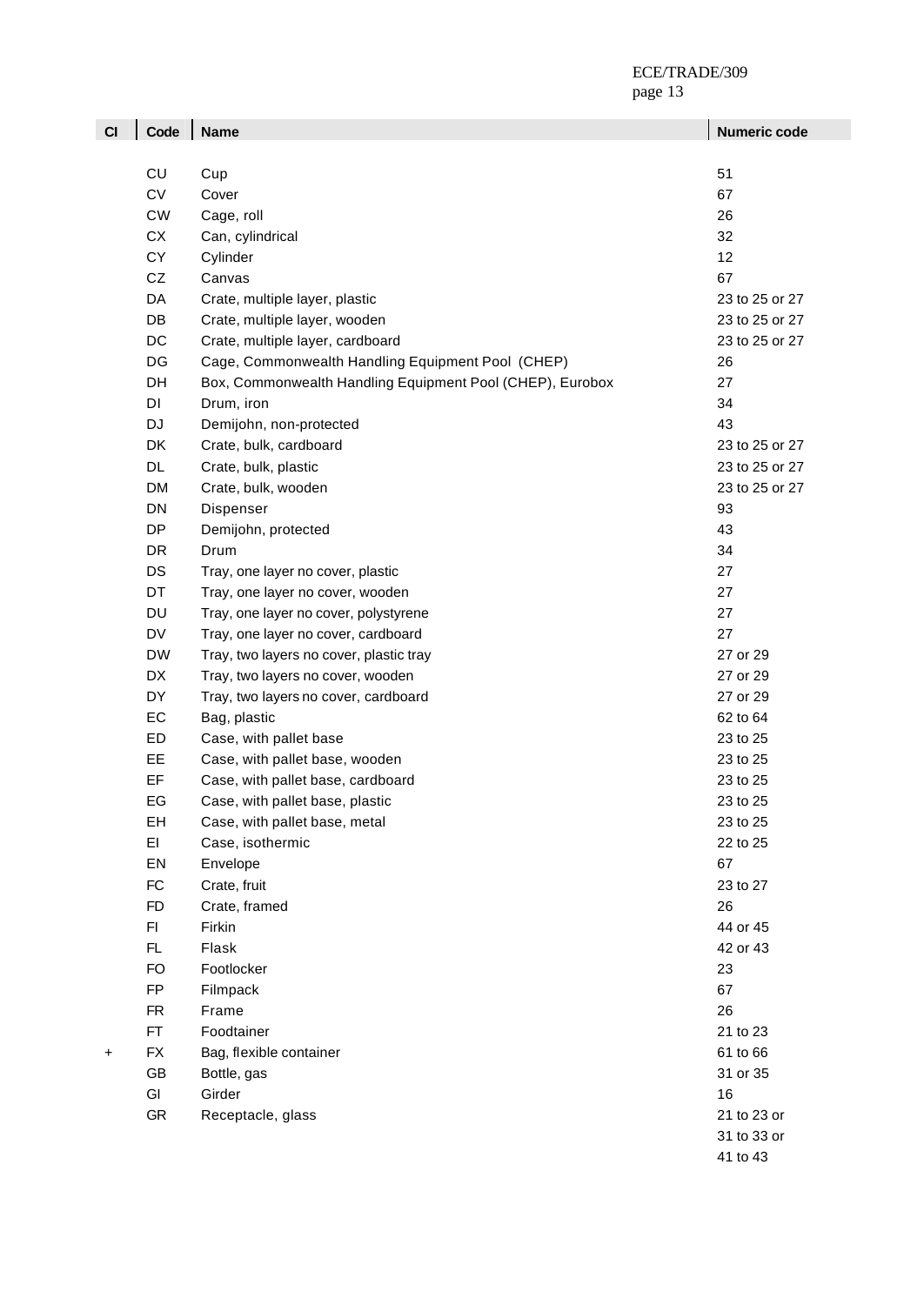| CI | Code      | <b>Name</b>                                               | Numeric code   |
|----|-----------|-----------------------------------------------------------|----------------|
|    |           |                                                           |                |
|    | CU        | Cup                                                       | 51             |
|    | CV        | Cover                                                     | 67             |
|    | <b>CW</b> | Cage, roll                                                | 26             |
|    | СX        | Can, cylindrical                                          | 32             |
|    | CY        | Cylinder                                                  | 12             |
|    | CZ        | Canvas                                                    | 67             |
|    | DA        | Crate, multiple layer, plastic                            | 23 to 25 or 27 |
|    | DB        | Crate, multiple layer, wooden                             | 23 to 25 or 27 |
|    | DC        | Crate, multiple layer, cardboard                          | 23 to 25 or 27 |
|    | DG        | Cage, Commonwealth Handling Equipment Pool (CHEP)         | 26             |
|    | DH        | Box, Commonwealth Handling Equipment Pool (CHEP), Eurobox | 27             |
|    | DI        | Drum, iron                                                | 34             |
|    | DJ        | Demijohn, non-protected                                   | 43             |
|    | DK        | Crate, bulk, cardboard                                    | 23 to 25 or 27 |
|    | DL        | Crate, bulk, plastic                                      | 23 to 25 or 27 |
|    | <b>DM</b> | Crate, bulk, wooden                                       | 23 to 25 or 27 |
|    | DN        | Dispenser                                                 | 93             |
|    | <b>DP</b> | Demijohn, protected                                       | 43             |
|    | <b>DR</b> | Drum                                                      | 34             |
|    | DS        | Tray, one layer no cover, plastic                         | 27             |
|    | DT        | Tray, one layer no cover, wooden                          | 27             |
|    | <b>DU</b> | Tray, one layer no cover, polystyrene                     | 27             |
|    | <b>DV</b> | Tray, one layer no cover, cardboard                       | 27             |
|    | <b>DW</b> | Tray, two layers no cover, plastic tray                   | 27 or 29       |
|    | DX        | Tray, two layers no cover, wooden                         | 27 or 29       |
|    | DY        | Tray, two layers no cover, cardboard                      | 27 or 29       |
|    | EC        | Bag, plastic                                              | 62 to 64       |
|    | ED        | Case, with pallet base                                    | 23 to 25       |
|    | EE        | Case, with pallet base, wooden                            | 23 to 25       |
|    | EF        | Case, with pallet base, cardboard                         | 23 to 25       |
|    | EG        | Case, with pallet base, plastic                           | 23 to 25       |
|    | EH        | Case, with pallet base, metal                             | 23 to 25       |
|    | EI        | Case, isothermic                                          | 22 to 25       |
|    | EN        | Envelope                                                  | 67             |
|    | FC        | Crate, fruit                                              | 23 to 27       |
|    | <b>FD</b> | Crate, framed                                             | 26             |
|    | F1        | Firkin                                                    | 44 or 45       |
|    | FL        | Flask                                                     | 42 or 43       |
|    | <b>FO</b> | Footlocker                                                | 23             |
|    | FP        | Filmpack                                                  | 67             |
|    | <b>FR</b> | Frame                                                     | 26             |
|    | FT.       | Foodtainer                                                | 21 to 23       |
| +  | <b>FX</b> | Bag, flexible container                                   | 61 to 66       |
|    | GB        | Bottle, gas                                               | 31 or 35       |
|    | GI        | Girder                                                    | 16             |
|    | GR        | Receptacle, glass                                         | 21 to 23 or    |
|    |           |                                                           | 31 to 33 or    |
|    |           |                                                           | 41 to 43       |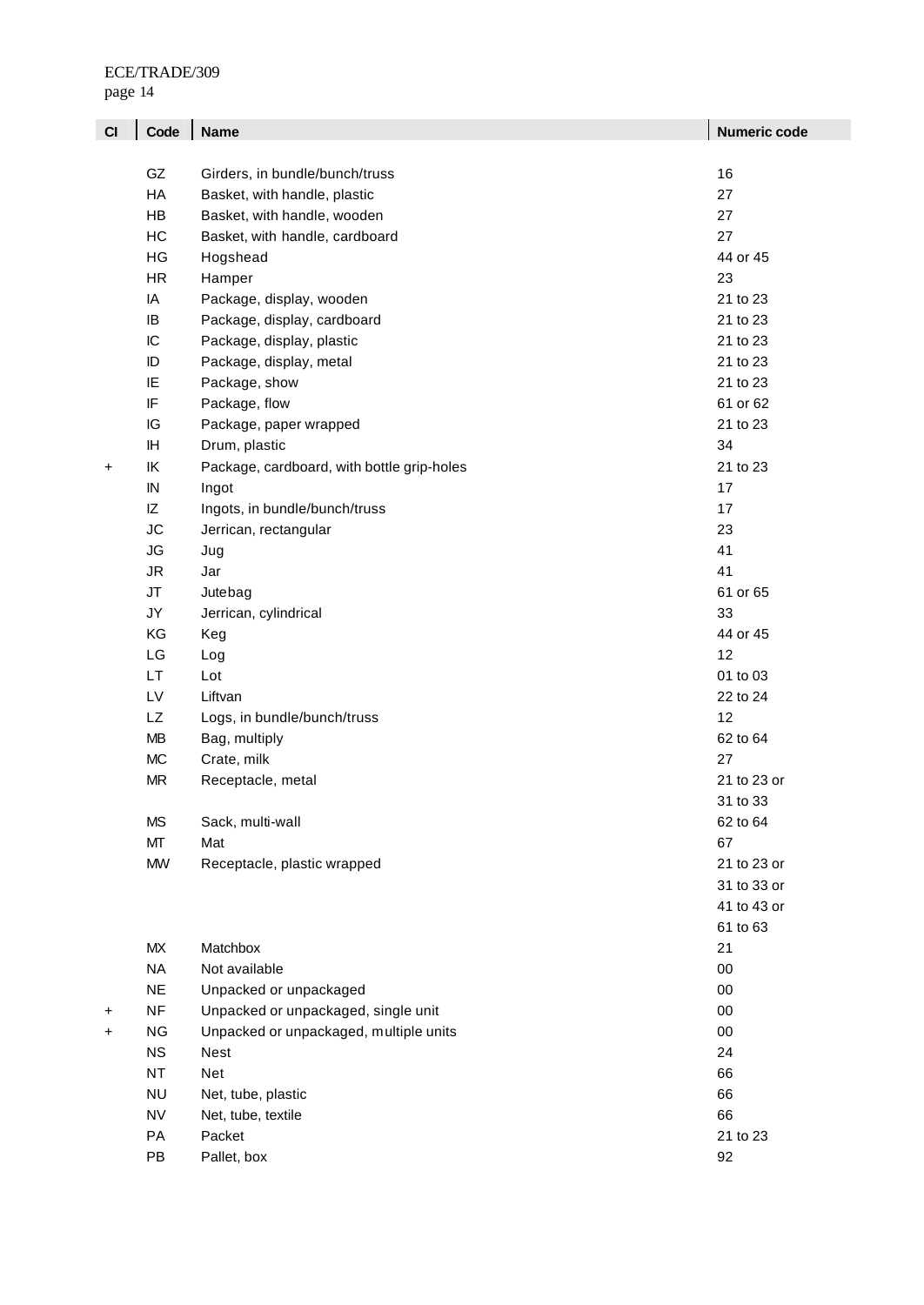| CI        | Code      | <b>Name</b>                                | <b>Numeric code</b> |
|-----------|-----------|--------------------------------------------|---------------------|
|           |           |                                            |                     |
|           | GZ        | Girders, in bundle/bunch/truss             | 16                  |
|           | HA        | Basket, with handle, plastic               | 27                  |
|           | HB        | Basket, with handle, wooden                | 27                  |
|           | НC        | Basket, with handle, cardboard             | 27                  |
|           | HG        | Hogshead                                   | 44 or 45            |
|           | HR.       | Hamper                                     | 23                  |
|           | IA        | Package, display, wooden                   | 21 to 23            |
|           | IB        | Package, display, cardboard                | 21 to 23            |
|           | IC        | Package, display, plastic                  | 21 to 23            |
|           | ID        | Package, display, metal                    | 21 to 23            |
|           | ΙE        | Package, show                              | 21 to 23            |
|           | IF        | Package, flow                              | 61 or 62            |
|           | IG        | Package, paper wrapped                     | 21 to 23            |
|           | ΙH        | Drum, plastic                              | 34                  |
| $\ddot{}$ | ΙK        | Package, cardboard, with bottle grip-holes | 21 to 23            |
|           | IN        | Ingot                                      | 17                  |
|           | ΙZ        | Ingots, in bundle/bunch/truss              | 17                  |
|           | <b>JC</b> | Jerrican, rectangular                      | 23                  |
|           | JG        | Jug                                        | 41                  |
|           | JR.       | Jar                                        | 41                  |
|           | <b>JT</b> | Jutebag                                    | 61 or 65            |
|           | JY        | Jerrican, cylindrical                      | 33                  |
|           | KG        | Keg                                        | 44 or 45            |
|           | LG        | Log                                        | 12                  |
|           | <b>LT</b> | Lot                                        | 01 to 03            |
|           | LV        | Liftvan                                    | 22 to 24            |
|           | <b>LZ</b> | Logs, in bundle/bunch/truss                | 12                  |
|           | MВ        | Bag, multiply                              | 62 to 64            |
|           | <b>MC</b> | Crate, milk                                | 27                  |
|           | <b>MR</b> | Receptacle, metal                          | 21 to 23 or         |
|           |           |                                            | 31 to 33            |
|           | <b>MS</b> | Sack, multi-wall                           | 62 to 64            |
|           | МT        | Mat                                        | 67                  |
|           | <b>MW</b> | Receptacle, plastic wrapped                | 21 to 23 or         |
|           |           |                                            | 31 to 33 or         |
|           |           |                                            | 41 to 43 or         |
|           |           |                                            | 61 to 63            |
|           | MX        | Matchbox                                   | 21                  |
|           | <b>NA</b> | Not available                              | 00                  |
|           | <b>NE</b> | Unpacked or unpackaged                     | 00                  |
| +         | <b>NF</b> | Unpacked or unpackaged, single unit        | 00                  |
| +         | NG        | Unpacked or unpackaged, multiple units     | 00                  |
|           | <b>NS</b> | <b>Nest</b>                                | 24                  |
|           | <b>NT</b> | Net                                        | 66                  |
|           | <b>NU</b> | Net, tube, plastic                         | 66                  |
|           | <b>NV</b> | Net, tube, textile                         | 66                  |
|           | PA        | Packet                                     | 21 to 23            |
|           | PB        | Pallet, box                                | 92                  |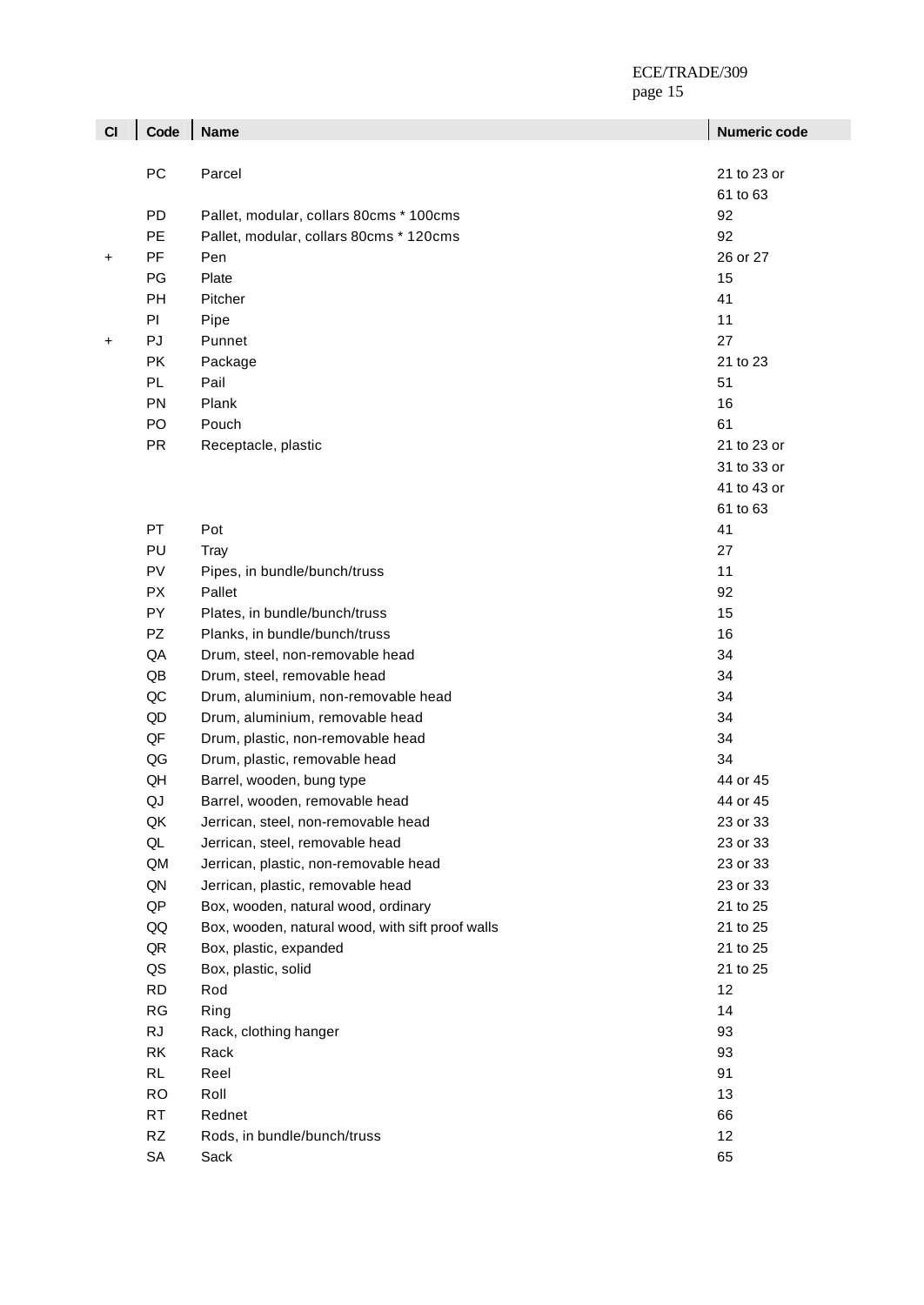page 15 ÷.

| CI        | Code      | <b>Name</b>                                      | <b>Numeric code</b> |
|-----------|-----------|--------------------------------------------------|---------------------|
|           |           |                                                  |                     |
|           | PC        | Parcel                                           | 21 to 23 or         |
|           |           |                                                  | 61 to 63            |
|           | <b>PD</b> | Pallet, modular, collars 80cms * 100cms          | 92                  |
|           | <b>PE</b> | Pallet, modular, collars 80cms * 120cms          | 92                  |
| $\ddot{}$ | PF        | Pen                                              | 26 or 27            |
|           | PG        | Plate                                            | 15                  |
|           | PH        | Pitcher                                          | 41                  |
|           | PI        | Pipe                                             | 11                  |
| $\ddot{}$ | PJ        | Punnet                                           | 27                  |
|           | PK        | Package                                          | 21 to 23            |
|           | PL        | Pail                                             | 51                  |
|           | PN        | Plank                                            | 16                  |
|           | PO        | Pouch                                            | 61                  |
|           | <b>PR</b> | Receptacle, plastic                              | 21 to 23 or         |
|           |           |                                                  | 31 to 33 or         |
|           |           |                                                  | 41 to 43 or         |
|           |           |                                                  | 61 to 63            |
|           | PT        | Pot                                              | 41                  |
|           | PU        | Tray                                             | 27                  |
|           | PV        | Pipes, in bundle/bunch/truss                     | 11                  |
|           | <b>PX</b> | Pallet                                           | 92                  |
|           | PY        | Plates, in bundle/bunch/truss                    | 15                  |
|           | PZ        | Planks, in bundle/bunch/truss                    | 16                  |
|           | QA        | Drum, steel, non-removable head                  | 34                  |
|           | QB        | Drum, steel, removable head                      | 34                  |
|           | QC        | Drum, aluminium, non-removable head              | 34                  |
|           | QD        | Drum, aluminium, removable head                  | 34                  |
|           | QF        | Drum, plastic, non-removable head                | 34                  |
|           | QG        | Drum, plastic, removable head                    | 34                  |
|           | QH        | Barrel, wooden, bung type                        | 44 or 45            |
|           | QJ        | Barrel, wooden, removable head                   | 44 or 45            |
|           | QK        | Jerrican, steel, non-removable head              | 23 or 33            |
|           | QL        | Jerrican, steel, removable head                  | 23 or 33            |
|           | QM        | Jerrican, plastic, non-removable head            | 23 or 33            |
|           | QN        | Jerrican, plastic, removable head                | 23 or 33            |
|           | QP        | Box, wooden, natural wood, ordinary              | 21 to 25            |
|           | QQ        | Box, wooden, natural wood, with sift proof walls | 21 to 25            |
|           | QR        | Box, plastic, expanded                           | 21 to 25            |
|           | QS        | Box, plastic, solid                              | 21 to 25            |
|           | <b>RD</b> | Rod                                              | 12                  |
|           | RG        | Ring                                             | 14                  |
|           | <b>RJ</b> | Rack, clothing hanger                            | 93                  |
|           | RK        | Rack                                             | 93                  |
|           | <b>RL</b> | Reel                                             | 91                  |
|           | <b>RO</b> | Roll                                             | 13                  |
|           | <b>RT</b> | Rednet                                           | 66                  |
|           | <b>RZ</b> | Rods, in bundle/bunch/truss                      | 12                  |
|           | SA        | Sack                                             | 65                  |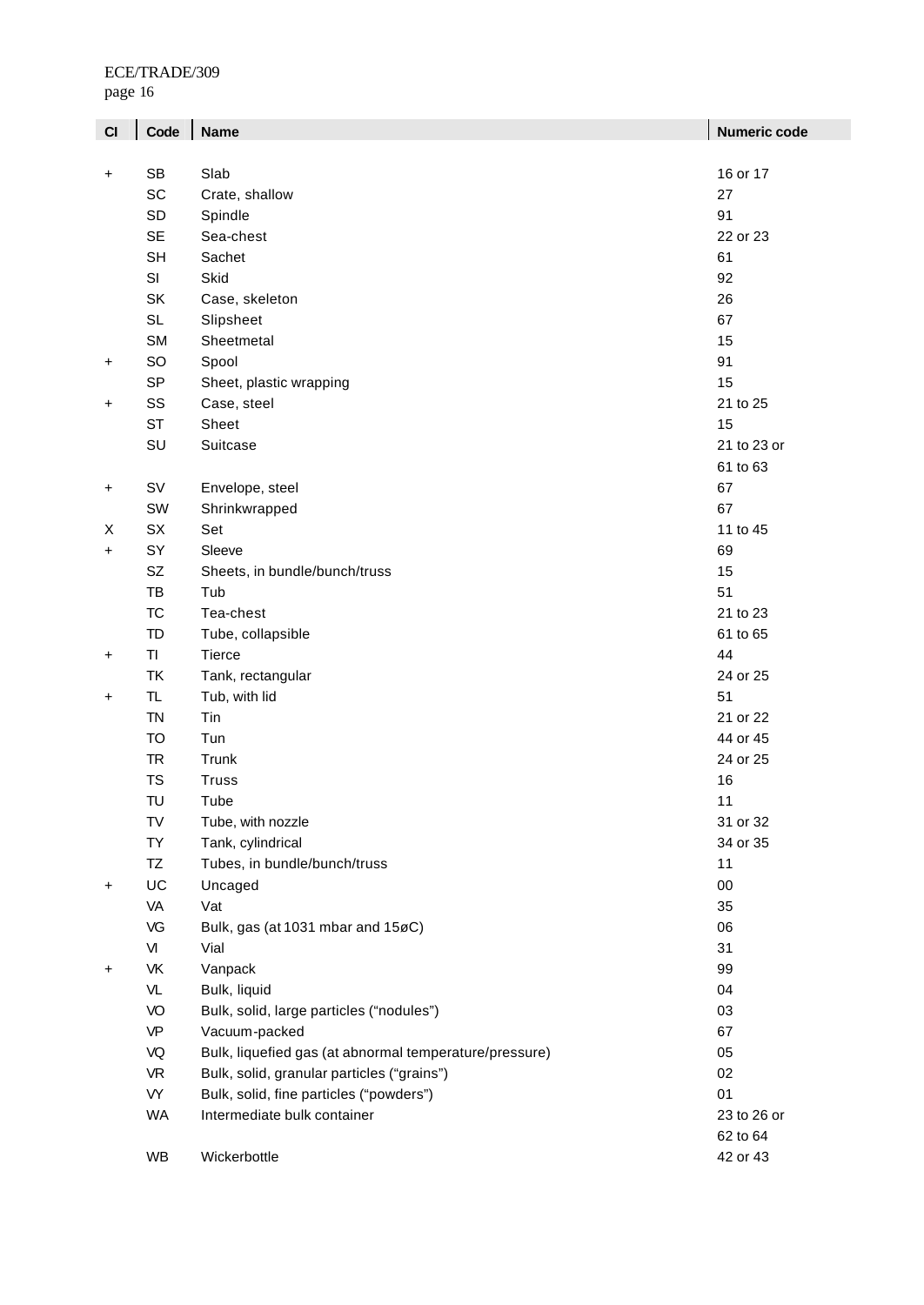page 16

| CI        | Code      | <b>Name</b>                                            | <b>Numeric code</b> |
|-----------|-----------|--------------------------------------------------------|---------------------|
|           |           |                                                        |                     |
| +         | <b>SB</b> | Slab                                                   | 16 or 17            |
|           | SC        | Crate, shallow                                         | 27                  |
|           | <b>SD</b> | Spindle                                                | 91                  |
|           | <b>SE</b> | Sea-chest                                              | 22 or 23            |
|           | <b>SH</b> | Sachet                                                 | 61                  |
|           | SI        | Skid                                                   | 92                  |
|           | SK        | Case, skeleton                                         | 26                  |
|           | <b>SL</b> | Slipsheet                                              | 67                  |
|           | <b>SM</b> | Sheetmetal                                             | 15                  |
| +         | SO        | Spool                                                  | 91                  |
|           | <b>SP</b> | Sheet, plastic wrapping                                | 15                  |
| +         | SS        | Case, steel                                            | 21 to 25            |
|           | <b>ST</b> | Sheet                                                  | 15                  |
|           | SU        | Suitcase                                               | 21 to 23 or         |
|           |           |                                                        | 61 to 63            |
| +         | SV        | Envelope, steel                                        | 67                  |
|           | SW        | Shrinkwrapped                                          | 67                  |
| Χ         | SX        | Set                                                    | 11 to 45            |
| +         | SY        | Sleeve                                                 | 69                  |
|           | <b>SZ</b> | Sheets, in bundle/bunch/truss                          | 15                  |
|           | TB        | Tub                                                    | 51                  |
|           | <b>TC</b> | Tea-chest                                              | 21 to 23            |
|           | <b>TD</b> | Tube, collapsible                                      | 61 to 65            |
| +         | TI        | Tierce                                                 | 44                  |
|           | <b>TK</b> | Tank, rectangular                                      | 24 or 25            |
| +         | TL.       | Tub, with lid                                          | 51                  |
|           | <b>TN</b> | Tin                                                    | 21 or 22            |
|           | <b>TO</b> | Tun                                                    | 44 or 45            |
|           | <b>TR</b> | Trunk                                                  | 24 or 25            |
|           | <b>TS</b> | <b>Truss</b>                                           | 16                  |
|           | TU        | Tube                                                   | 11                  |
|           | TV        | Tube, with nozzle                                      | 31 or 32            |
|           | <b>TY</b> | Tank, cylindrical                                      | 34 or 35            |
|           | TZ        | Tubes, in bundle/bunch/truss                           | 11                  |
| $\ddot{}$ | UC        | Uncaged                                                | $00\,$              |
|           | VA        | Vat                                                    | 35                  |
|           | VG        | Bulk, gas (at 1031 mbar and 15øC)                      | 06                  |
|           | VI        | Vial                                                   | 31                  |
| +         | VK        | Vanpack                                                | 99                  |
|           | VL        | Bulk, liquid                                           | 04                  |
|           | VO        | Bulk, solid, large particles ("nodules")               | 03                  |
|           | <b>VP</b> | Vacuum-packed                                          | 67                  |
|           | VQ        | Bulk, liquefied gas (at abnormal temperature/pressure) | 05                  |
|           | <b>VR</b> | Bulk, solid, granular particles ("grains")             | 02                  |
|           | VY        | Bulk, solid, fine particles ("powders")                | 01                  |
|           | <b>WA</b> | Intermediate bulk container                            | 23 to 26 or         |
|           |           |                                                        | 62 to 64            |
|           | WB        | Wickerbottle                                           | 42 or 43            |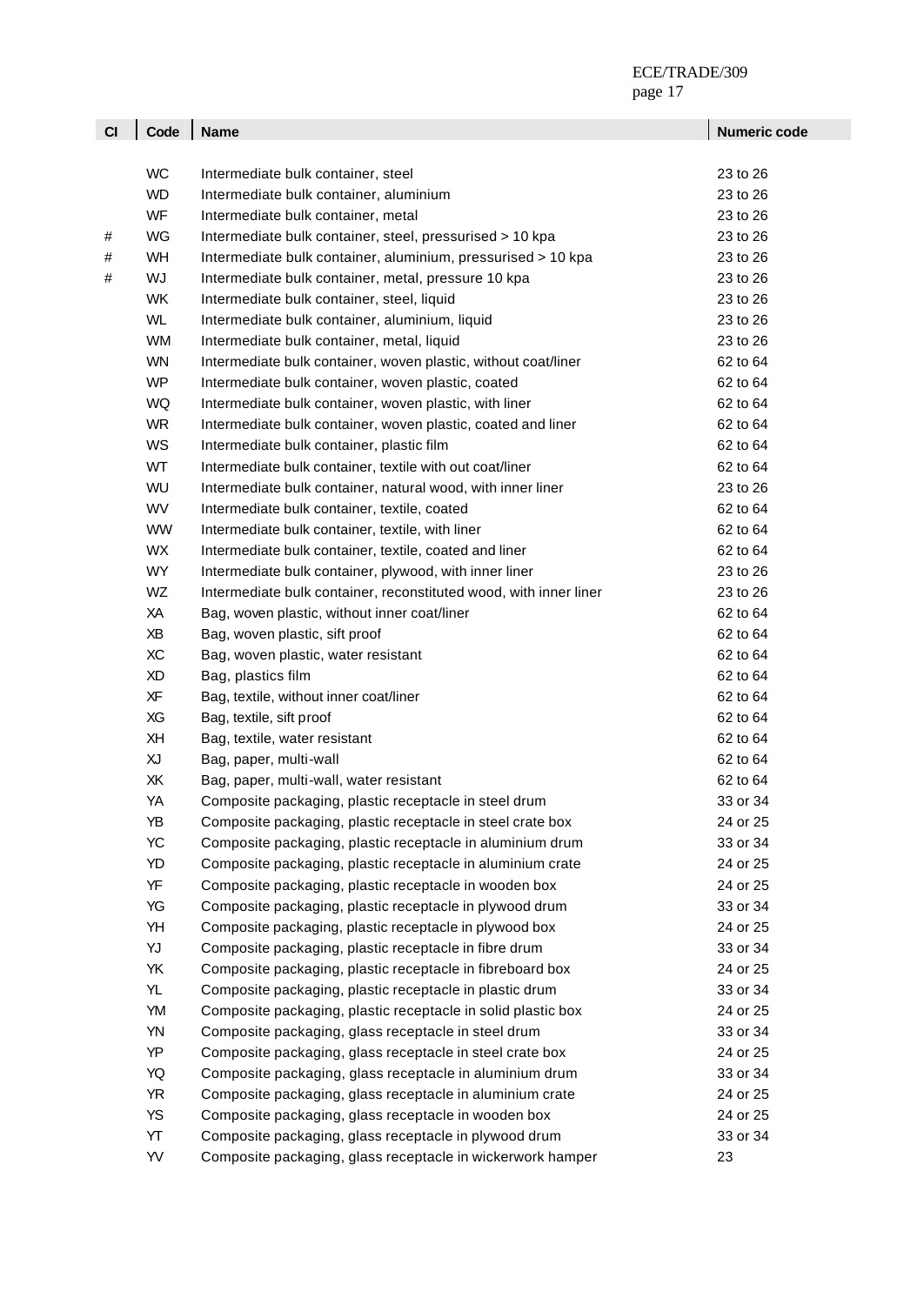| CI | Code      | <b>Name</b>                                                       | Numeric code |
|----|-----------|-------------------------------------------------------------------|--------------|
|    |           |                                                                   |              |
|    | <b>WC</b> | Intermediate bulk container, steel                                | 23 to 26     |
|    | <b>WD</b> | Intermediate bulk container, aluminium                            | 23 to 26     |
|    | WF        | Intermediate bulk container, metal                                | 23 to 26     |
| #  | WG        | Intermediate bulk container, steel, pressurised > 10 kpa          | 23 to 26     |
| #  | WH        | Intermediate bulk container, aluminium, pressurised > 10 kpa      | 23 to 26     |
| #  | WJ        | Intermediate bulk container, metal, pressure 10 kpa               | 23 to 26     |
|    | <b>WK</b> | Intermediate bulk container, steel, liquid                        | 23 to 26     |
|    | <b>WL</b> | Intermediate bulk container, aluminium, liquid                    | 23 to 26     |
|    | <b>WM</b> | Intermediate bulk container, metal, liquid                        | 23 to 26     |
|    | <b>WN</b> | Intermediate bulk container, woven plastic, without coat/liner    | 62 to 64     |
|    | <b>WP</b> | Intermediate bulk container, woven plastic, coated                | 62 to 64     |
|    | WQ        | Intermediate bulk container, woven plastic, with liner            | 62 to 64     |
|    | <b>WR</b> | Intermediate bulk container, woven plastic, coated and liner      | 62 to 64     |
|    | WS        | Intermediate bulk container, plastic film                         | 62 to 64     |
|    | WT        | Intermediate bulk container, textile with out coat/liner          | 62 to 64     |
|    | WU        | Intermediate bulk container, natural wood, with inner liner       | 23 to 26     |
|    | <b>WV</b> | Intermediate bulk container, textile, coated                      | 62 to 64     |
|    | <b>WW</b> | Intermediate bulk container, textile, with liner                  | 62 to 64     |
|    | <b>WX</b> | Intermediate bulk container, textile, coated and liner            | 62 to 64     |
|    | <b>WY</b> | Intermediate bulk container, plywood, with inner liner            | 23 to 26     |
|    | WZ        | Intermediate bulk container, reconstituted wood, with inner liner | 23 to 26     |
|    | XA        | Bag, woven plastic, without inner coat/liner                      | 62 to 64     |
|    | ΧB        | Bag, woven plastic, sift proof                                    | 62 to 64     |
|    | XC        | Bag, woven plastic, water resistant                               | 62 to 64     |
|    | <b>XD</b> | Bag, plastics film                                                | 62 to 64     |
|    | XF        | Bag, textile, without inner coat/liner                            | 62 to 64     |
|    | XG        | Bag, textile, sift proof                                          | 62 to 64     |
|    | XH        | Bag, textile, water resistant                                     | 62 to 64     |
|    | XJ        | Bag, paper, multi-wall                                            | 62 to 64     |
|    | XK        | Bag, paper, multi-wall, water resistant                           | 62 to 64     |
|    | YA        | Composite packaging, plastic receptacle in steel drum             | 33 or 34     |
|    | YB        | Composite packaging, plastic receptacle in steel crate box        | 24 or 25     |
|    | YC        | Composite packaging, plastic receptacle in aluminium drum         | 33 or 34     |
|    | YD        | Composite packaging, plastic receptacle in aluminium crate        | 24 or 25     |
|    | YF        | Composite packaging, plastic receptacle in wooden box             | 24 or 25     |
|    | YG        | Composite packaging, plastic receptacle in plywood drum           | 33 or 34     |
|    | YH        | Composite packaging, plastic receptacle in plywood box            | 24 or 25     |
|    | YJ        | Composite packaging, plastic receptacle in fibre drum             | 33 or 34     |
|    | YK        | Composite packaging, plastic receptacle in fibreboard box         | 24 or 25     |
|    | YL        | Composite packaging, plastic receptacle in plastic drum           | 33 or 34     |
|    | YM        | Composite packaging, plastic receptacle in solid plastic box      | 24 or 25     |
|    | YN        | Composite packaging, glass receptacle in steel drum               | 33 or 34     |
|    | YP        | Composite packaging, glass receptacle in steel crate box          | 24 or 25     |
|    | YQ        | Composite packaging, glass receptacle in aluminium drum           | 33 or 34     |
|    | <b>YR</b> | Composite packaging, glass receptacle in aluminium crate          | 24 or 25     |
|    | <b>YS</b> | Composite packaging, glass receptacle in wooden box               | 24 or 25     |
|    | YT        | Composite packaging, glass receptacle in plywood drum             | 33 or 34     |
|    | YV        | Composite packaging, glass receptacle in wickerwork hamper        | 23           |